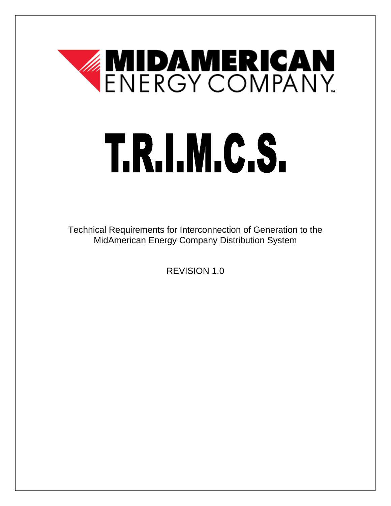# **ENERGY COMPANY** T.R.I.M.C.S.

 MidAmerican Energy Company Distribution System Technical Requirements for Interconnection of Generation to the

REVISION 1.0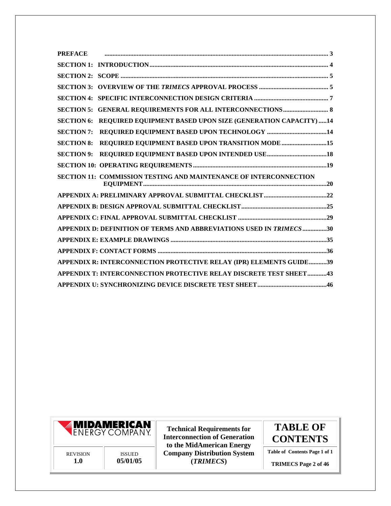| <b>PREFACE</b>    |                                                                     |  |
|-------------------|---------------------------------------------------------------------|--|
|                   |                                                                     |  |
|                   |                                                                     |  |
|                   |                                                                     |  |
|                   |                                                                     |  |
|                   |                                                                     |  |
| <b>SECTION 6:</b> | REQUIRED EQUIPMENT BASED UPON SIZE (GENERATION CAPACITY) 14         |  |
|                   |                                                                     |  |
| <b>SECTION 8:</b> | REQUIRED EQUIPMENT BASED UPON TRANSITION MODE 15                    |  |
|                   |                                                                     |  |
|                   |                                                                     |  |
|                   | SECTION 11: COMMISSION TESTING AND MAINTENANCE OF INTERCONNECTION   |  |
|                   |                                                                     |  |
|                   |                                                                     |  |
|                   |                                                                     |  |
|                   | APPENDIX D: DEFINITION OF TERMS AND ABBREVIATIONS USED IN TRIMECS30 |  |
|                   |                                                                     |  |
|                   |                                                                     |  |
|                   | APPENDIX R: INTERCONNECTION PROTECTIVE RELAY (IPR) ELEMENTS GUIDE39 |  |
|                   | APPENDIX T: INTERCONNECTION PROTECTIVE RELAY DISCRETE TEST SHEET43  |  |
|                   |                                                                     |  |



**Technical Requirements for TABLE OF Interconnection of Generation CONTENTS to the MidAmerican Energy**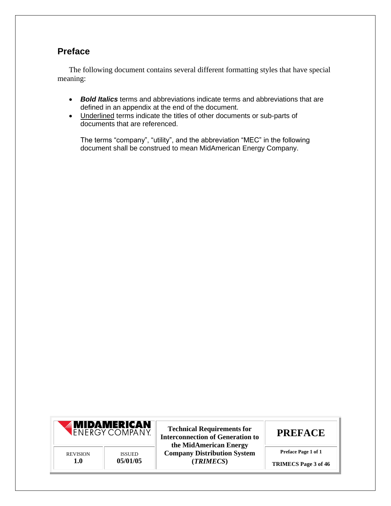#### <span id="page-2-0"></span>**Preface**

The following document contains several different formatting styles that have special meaning:

- *Bold Italics* terms and abbreviations indicate terms and abbreviations that are defined in an appendix at the end of the document.
- Underlined terms indicate the titles of other documents or sub-parts of documents that are referenced.

The terms "company", "utility", and the abbreviation "MEC" in the following document shall be construed to mean MidAmerican Energy Company.



Technical Requirements for **PREFACE** Interconnection of Generation to **the MidAmerican Energy PREVISION** ISSUED **Company Distribution System Preface Page 1 of 1**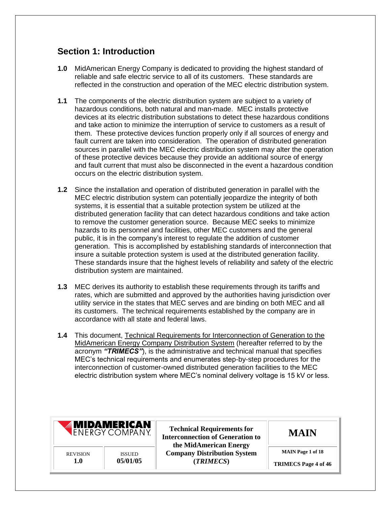#### <span id="page-3-0"></span> **Section 1: Introduction**

- **1.0** MidAmerican Energy Company is dedicated to providing the highest standard of reliable and safe electric service to all of its customers. These standards are reflected in the construction and operation of the MEC electric distribution system.
- **1.1** The components of the electric distribution system are subject to a variety of hazardous conditions, both natural and man-made. MEC installs protective devices at its electric distribution substations to detect these hazardous conditions and take action to minimize the interruption of service to customers as a result of them. These protective devices function properly only if all sources of energy and fault current are taken into consideration. The operation of distributed generation sources in parallel with the MEC electric distribution system may alter the operation of these protective devices because they provide an additional source of energy and fault current that must also be disconnected in the event a hazardous condition occurs on the electric distribution system.
- **1.2** Since the installation and operation of distributed generation in parallel with the MEC electric distribution system can potentially jeopardize the integrity of both systems, it is essential that a suitable protection system be utilized at the distributed generation facility that can detect hazardous conditions and take action to remove the customer generation source. Because MEC seeks to minimize hazards to its personnel and facilities, other MEC customers and the general public, it is in the company's interest to regulate the addition of customer generation. This is accomplished by establishing standards of interconnection that insure a suitable protection system is used at the distributed generation facility. These standards insure that the highest levels of reliability and safety of the electric distribution system are maintained.
- **1.3** MEC derives its authority to establish these requirements through its tariffs and rates, which are submitted and approved by the authorities having jurisdiction over utility service in the states that MEC serves and are binding on both MEC and all its customers. The technical requirements established by the company are in accordance with all state and federal laws.
- **1.4** This document, Technical Requirements for Interconnection of Generation to the MidAmerican Energy Company Distribution System (hereafter referred to by the acronym *"TRIMECS"*), is the administrative and technical manual that specifies MEC's technical requirements and enumerates step-by-step procedures for the interconnection of customer-owned distributed generation facilities to the MEC electric distribution system where MEC's nominal delivery voltage is 15 kV or less.

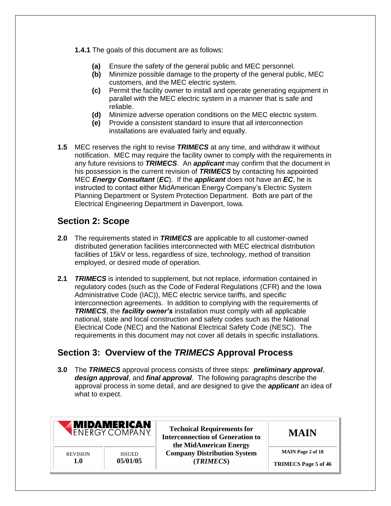- **1.4.1** The goals of this document are as follows:
	- **(a)** Ensure the safety of the general public and MEC personnel.
	- **(b)** Minimize possible damage to the property of the general public, MEC customers, and the MEC electric system.
	- **(c)** Permit the facility owner to install and operate generating equipment in parallel with the MEC electric system in a manner that is safe and reliable.
	- **(d)** Minimize adverse operation conditions on the MEC electric system.
	- **(e)** Provide a consistent standard to insure that all interconnection installations are evaluated fairly and equally.
- **1.5** MEC reserves the right to revise *TRIMECS* at any time, and withdraw it without notification. MEC may require the facility owner to comply with the requirements in any future revisions to *TRIMECS*. An *applicant* may confirm that the document in his possession is the current revision of *TRIMECS* by contacting his appointed MEC *Energy Consultant* (*EC*). If the *applicant* does not have an *EC*, he is instructed to contact either MidAmerican Energy Company's Electric System Planning Department or System Protection Department. Both are part of the Electrical Engineering Department in Davenport, Iowa.

## <span id="page-4-0"></span> **Section 2: Scope**

- distributed generation facilities interconnected with MEC electrical distribution facilities of 15kV or less, regardless of size, technology, method of transition employed, or desired mode of operation. **2.0** The requirements stated in *TRIMECS* are applicable to all customer-owned
- **2.1** *TRIMECS* is intended to supplement, but not replace, information contained in regulatory codes (such as the Code of Federal Regulations (CFR) and the Iowa Administrative Code (IAC)), MEC electric service tariffs, and specific interconnection agreements. In addition to complying with the requirements of *TRIMECS*, the *facility owner's* installation must comply with all applicable national, state and local construction and safety codes such as the National Electrical Code (NEC) and the National Electrical Safety Code (NESC). The requirements in this document may not cover all details in specific installations.

#### <span id="page-4-1"></span> **Section 3: Overview of the** *TRIMECS* **Approval Process**

 **3.0** The *TRIMECS* approval process consists of three steps: *preliminary approval*, *design approval*, and *final approval*. The following paragraphs describe the approval process in some detail, and are designed to give the *applicant* an idea of what to expect.

|                 | <b>MIDAMERICAN</b><br><b>ENERGY COMPANY</b> | <b>Technical Requirements for</b><br><b>Interconnection of Generation to</b><br>the MidAmerican Energy | <b>MAIN</b>                 |
|-----------------|---------------------------------------------|--------------------------------------------------------------------------------------------------------|-----------------------------|
| <b>REVISION</b> | <b>ISSUED</b>                               | <b>Company Distribution System</b>                                                                     | <b>MAIN</b> Page 2 of 18    |
| 1.0             | 05/01/05                                    | (TRIMECS)                                                                                              | <b>TRIMECS Page 5 of 46</b> |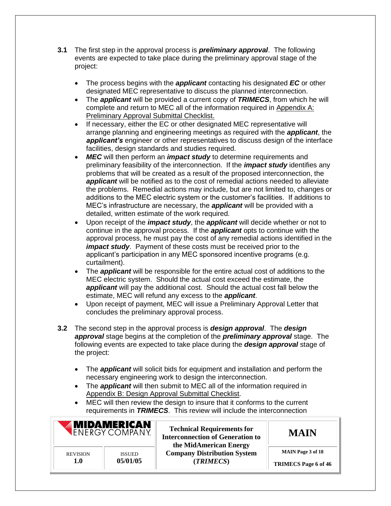- **3.1** The first step in the approval process is *preliminary approval*. The following events are expected to take place during the preliminary approval stage of the project:
	- • The process begins with the *applicant* contacting his designated *EC* or other designated MEC representative to discuss the planned interconnection.
	- • The *applicant* will be provided a current copy of *TRIMECS*, from which he will complete and return to MEC all of the information required in Appendix A: Preliminary Approval Submittal Checklist.
	- • If necessary, either the EC or other designated MEC representative will arrange planning and engineering meetings as required with the *applicant*, the *applicant's* engineer or other representatives to discuss design of the interface facilities, design standards and studies required.
	- • *MEC* will then perform an *impact study* to determine requirements and preliminary feasibility of the interconnection. If the *impact study* identifies any problems that will be created as a result of the proposed interconnection, the *applicant* will be notified as to the cost of remedial actions needed to alleviate the problems. Remedial actions may include, but are not limited to, changes or additions to the MEC electric system or the customer's facilities. If additions to MEC's infrastructure are necessary, the *applicant* will be provided with a detailed, written estimate of the work required.
	- • Upon receipt of the *impact study*, the *applicant* will decide whether or not to continue in the approval process. If the *applicant* opts to continue with the approval process, he must pay the cost of any remedial actions identified in the *impact study*. Payment of these costs must be received prior to the applicant's participation in any MEC sponsored incentive programs (e.g. curtailment).
	- • The *applicant* will be responsible for the entire actual cost of additions to the MEC electric system. Should the actual cost exceed the estimate, the *applicant* will pay the additional cost. Should the actual cost fall below the estimate, MEC will refund any excess to the *applicant*.
	- • Upon receipt of payment, MEC will issue a Preliminary Approval Letter that concludes the preliminary approval process.
- **3.2** The second step in the approval process is *design approval*. The *design approval* stage begins at the completion of the *preliminary approval* stage. The following events are expected to take place during the *design approval* stage of the project:
	- • The *applicant* will solicit bids for equipment and installation and perform the necessary engineering work to design the interconnection.
	- • The *applicant* will then submit to MEC all of the information required in Appendix B: Design Approval Submittal Checklist.
	- • MEC will then review the design to insure that it conforms to the current requirements in *TRIMECS*. This review will include the interconnection

|                 | <b>MIDAMERICAN</b><br><b>ENERGY COMPANY</b> | <b>Technical Requirements for</b><br><b>Interconnection of Generation to</b><br>the MidAmerican Energy | <b>MAIN</b>                 |
|-----------------|---------------------------------------------|--------------------------------------------------------------------------------------------------------|-----------------------------|
| <b>REVISION</b> | <b>ISSUED</b>                               | <b>Company Distribution System</b>                                                                     | <b>MAIN</b> Page 3 of 18    |
| 1.0             | 05/01/05                                    | (TRIMECS)                                                                                              | <b>TRIMECS Page 6 of 46</b> |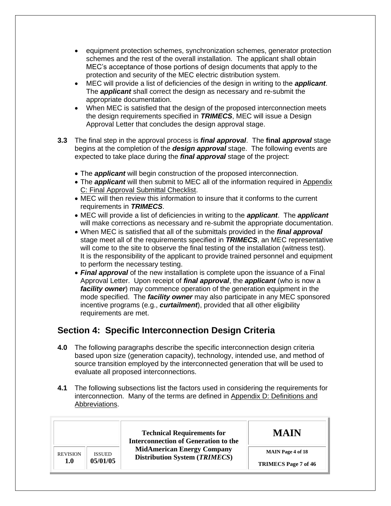- • equipment protection schemes, synchronization schemes, generator protection schemes and the rest of the overall installation. The applicant shall obtain MEC's acceptance of those portions of design documents that apply to the protection and security of the MEC electric distribution system.
- • MEC will provide a list of deficiencies of the design in writing to the *applicant*. The *applicant* shall correct the design as necessary and re-submit the appropriate documentation.
- • When MEC is satisfied that the design of the proposed interconnection meets the design requirements specified in *TRIMECS*, MEC will issue a Design Approval Letter that concludes the design approval stage.
- **3.3** The final step in the approval process is *final approval*. The **final** *approval* stage begins at the completion of the *design approval* stage. The following events are expected to take place during the *final approval* stage of the project:
	- The *applicant* will begin construction of the proposed interconnection.
	- The **applicant** will then submit to MEC all of the information required in Appendix C: Final Approval Submittal Checklist.
	- • MEC will then review this information to insure that it conforms to the current requirements in *TRIMECS*.
	- • MEC will provide a list of deficiencies in writing to the *applicant*. The *applicant*  will make corrections as necessary and re-submit the appropriate documentation.
	- • When MEC is satisfied that all of the submittals provided in the *final approval*  stage meet all of the requirements specified in *TRIMECS*, an MEC representative will come to the site to observe the final testing of the installation (witness test). It is the responsibility of the applicant to provide trained personnel and equipment to perform the necessary testing.
	- • *Final approval* of the new installation is complete upon the issuance of a Final Approval Letter. Upon receipt of *final approval*, the *applicant* (who is now a *facility owner*) may commence operation of the generation equipment in the mode specified. The *facility owner* may also participate in any MEC sponsored incentive programs (e.g., *curtailment*), provided that all other eligibility requirements are met.

## <span id="page-6-0"></span> **Section 4: Specific Interconnection Design Criteria**

- **4.0** The following paragraphs describe the specific interconnection design criteria based upon size (generation capacity), technology, intended use, and method of source transition employed by the interconnected generation that will be used to evaluate all proposed interconnections.
- **4.1** The following subsections list the factors used in considering the requirements for interconnection. Many of the terms are defined in Appendix D: Definitions and Abbreviations.

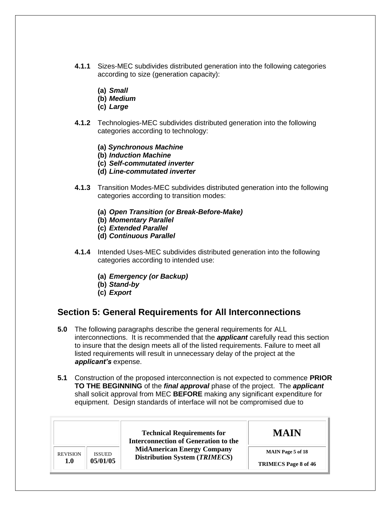- **4.1.1** Sizes-MEC subdivides distributed generation into the following categories according to size (generation capacity):
	- **(a)** *Small*
	- **(b)** *Medium*
	- **(c)** *Large*
- **4.1.2** Technologies-MEC subdivides distributed generation into the following categories according to technology:
	- **(a)** *Synchronous Machine*
	- **(b)** *Induction Machine*
	- **(c)** *Self-commutated inverter*
	- **(d)** *Line-commutated inverter*
- **4.1.3** Transition Modes-MEC subdivides distributed generation into the following categories according to transition modes:
	- **(a)** *Open Transition (or Break-Before-Make)*
	- **(b)** *Momentary Parallel*
	- **(c)** *Extended Parallel*
	- **(d)** *Continuous Parallel*
- **4.1.4** Intended Uses-MEC subdivides distributed generation into the following categories according to intended use:
	- **(a)** *Emergency (or Backup)*
	- **(b)** *Stand-by*
	- **(c)** *Export*

#### <span id="page-7-0"></span> **Section 5: General Requirements for All Interconnections**

- **5.0** The following paragraphs describe the general requirements for ALL interconnections. It is recommended that the *applicant* carefully read this section to insure that the design meets all of the listed requirements. Failure to meet all listed requirements will result in unnecessary delay of the project at the *applicant's* expense.
- **5.1** Construction of the proposed interconnection is not expected to commence **PRIOR TO THE BEGINNING** of the *final approval* phase of the project. The *applicant*  shall solicit approval from MEC **BEFORE** making any significant expenditure for equipment. Design standards of interface will not be compromised due to

|                 |               | <b>Technical Requirements for</b><br><b>Interconnection of Generation to the</b> | MAIN                        |
|-----------------|---------------|----------------------------------------------------------------------------------|-----------------------------|
| <b>REVISION</b> | <b>ISSUED</b> | <b>MidAmerican Energy Company</b><br><b>Distribution System (TRIMECS)</b>        | <b>MAIN</b> Page 5 of 18    |
| 1.0             | 05/01/05      |                                                                                  | <b>TRIMECS</b> Page 8 of 46 |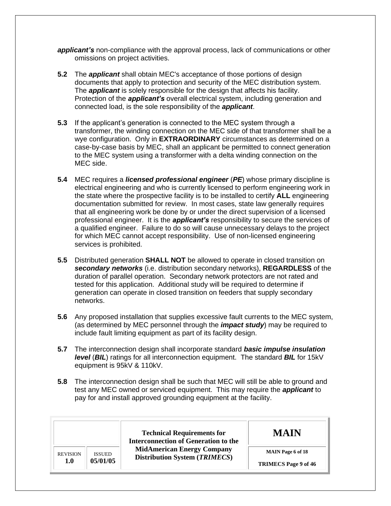*applicant's* non-compliance with the approval process, lack of communications or other omissions on project activities.

- **5.2** The *applicant* shall obtain MEC's acceptance of those portions of design documents that apply to protection and security of the MEC distribution system. The *applicant* is solely responsible for the design that affects his facility. Protection of the *applicant's* overall electrical system, including generation and connected load, is the sole responsibility of the *applicant*.
- **5.3** If the applicant's generation is connected to the MEC system through a transformer, the winding connection on the MEC side of that transformer shall be a  wye configuration. Only in **EXTRAORDINARY** circumstances as determined on a case-by-case basis by MEC, shall an applicant be permitted to connect generation to the MEC system using a transformer with a delta winding connection on the MEC side.
- **5.4** MEC requires a *licensed professional engineer* (*PE*) whose primary discipline is electrical engineering and who is currently licensed to perform engineering work in the state where the prospective facility is to be installed to certify **ALL** engineering documentation submitted for review. In most cases, state law generally requires that all engineering work be done by or under the direct supervision of a licensed professional engineer. It is the *applicant's* responsibility to secure the services of a qualified engineer. Failure to do so will cause unnecessary delays to the project for which MEC cannot accept responsibility. Use of non-licensed engineering services is prohibited.
- **5.5** Distributed generation **SHALL NOT** be allowed to operate in closed transition on *secondary networks* (i.e. distribution secondary networks), **REGARDLESS** of the duration of parallel operation. Secondary network protectors are not rated and tested for this application. Additional study will be required to determine if generation can operate in closed transition on feeders that supply secondary networks.
- **5.6** Any proposed installation that supplies excessive fault currents to the MEC system, (as determined by MEC personnel through the *impact study*) may be required to include fault limiting equipment as part of its facility design.
- **5.7** The interconnection design shall incorporate standard *basic impulse insulation level* (*BIL*) ratings for all interconnection equipment. The standard *BIL* for 15kV equipment is 95kV & 110kV.
- **5.8** The interconnection design shall be such that MEC will still be able to ground and test any MEC owned or serviced equipment. This may require the *applicant* to pay for and install approved grounding equipment at the facility.

|                                                     | <b>Technical Requirements for</b><br><b>Interconnection of Generation to the</b> | <b>MAIN</b>                                             |
|-----------------------------------------------------|----------------------------------------------------------------------------------|---------------------------------------------------------|
| <b>REVISION</b><br><b>ISSUED</b><br>05/01/05<br>1.0 | <b>MidAmerican Energy Company</b><br><b>Distribution System (TRIMECS)</b>        | <b>MAIN</b> Page 6 of 18<br><b>TRIMECS</b> Page 9 of 46 |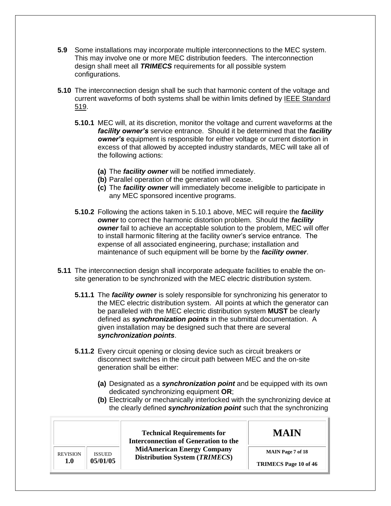- **5.9** Some installations may incorporate multiple interconnections to the MEC system. This may involve one or more MEC distribution feeders. The interconnection design shall meet all *TRIMECS* requirements for all possible system configurations.
- **5.10** The interconnection design shall be such that harmonic content of the voltage and current waveforms of both systems shall be within limits defined by **IEEE Standard** 519.
	- **5.10.1** MEC will, at its discretion, monitor the voltage and current waveforms at the *facility owner's* service entrance. Should it be determined that the *facility owner's* equipment is responsible for either voltage or current distortion in excess of that allowed by accepted industry standards, MEC will take all of the following actions:
		- **(a)** The *facility owner* will be notified immediately.
		- **(b)** Parallel operation of the generation will cease.
		- any MEC sponsored incentive programs. **(c)** The *facility owner* will immediately become ineligible to participate in
	- **5.10.2** Following the actions taken in 5.10.1 above, MEC will require the *facility owner* to correct the harmonic distortion problem. Should the *facility owner* fail to achieve an acceptable solution to the problem, MEC will offer to install harmonic filtering at the facility owner's service entrance. The expense of all associated engineering, purchase; installation and maintenance of such equipment will be borne by the *facility owner*.
- **5.11** The interconnection design shall incorporate adequate facilities to enable the on- site generation to be synchronized with the MEC electric distribution system.
	- **5.11.1** The *facility owner* is solely responsible for synchronizing his generator to the MEC electric distribution system. All points at which the generator can be paralleled with the MEC electric distribution system **MUST** be clearly defined as *synchronization points* in the submittal documentation. A given installation may be designed such that there are several *synchronization points*.
	- **5.11.2** Every circuit opening or closing device such as circuit breakers or disconnect switches in the circuit path between MEC and the on-site generation shall be either:
		- **(a)** Designated as a *synchronization point* and be equipped with its own dedicated synchronizing equipment **OR**;
		- **(b)** Electrically or mechanically interlocked with the synchronizing device at the clearly defined *synchronization point* such that the synchronizing

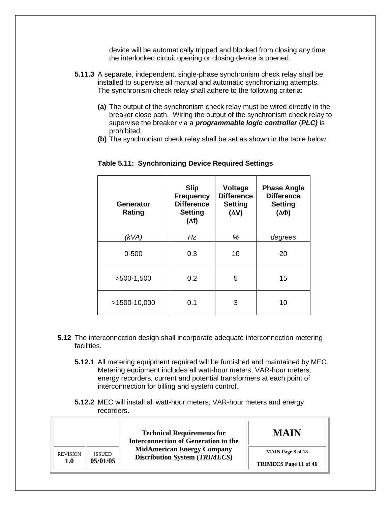device will be automatically tripped and blocked from closing any time the interlocked circuit opening or closing device is opened.

- **5.11.3** A separate, independent, single-phase synchronism check relay shall be installed to supervise all manual and automatic synchronizing attempts. The synchronism check relay shall adhere to the following criteria:
	- **(a)** The output of the synchronism check relay must be wired directly in the breaker close path. Wiring the output of the synchronism check relay to supervise the breaker via a *programmable logic controller* (*PLC)* is prohibited.
	- **(b)** The synchronism check relay shall be set as shown in the table below:

| Generator<br>Rating | <b>Slip</b><br><b>Frequency</b><br><b>Difference</b><br><b>Setting</b><br>$(\Delta f)$ | <b>Voltage</b><br><b>Difference</b><br><b>Setting</b><br>$(\Delta V)$ | <b>Phase Angle</b><br><b>Difference</b><br><b>Setting</b><br>$(\Delta \Phi)$ |
|---------------------|----------------------------------------------------------------------------------------|-----------------------------------------------------------------------|------------------------------------------------------------------------------|
| (kVA)               | Hz                                                                                     | %                                                                     | degrees                                                                      |
| $0 - 500$           | 0.3                                                                                    | 10                                                                    | 20                                                                           |
| $>500-1,500$        | 0.2                                                                                    | 5                                                                     | 15                                                                           |
| >1500-10,000        | 0.1                                                                                    | 3                                                                     | 10                                                                           |

#### **Table 5.11: Synchronizing Device Required Settings**

- **5.12** The interconnection design shall incorporate adequate interconnection metering facilities.
	- **5.12.1** All metering equipment required will be furnished and maintained by MEC. Metering equipment includes all watt-hour meters, VAR-hour meters, energy recorders, current and potential transformers at each point of interconnection for billing and system control.
	- **5.12.2** MEC will install all watt-hour meters, VAR-hour meters and energy recorders.

|                 |               | <b>Technical Requirements for</b><br><b>Interconnection of Generation to the</b> | <b>MAIN</b>                  |
|-----------------|---------------|----------------------------------------------------------------------------------|------------------------------|
| <b>REVISION</b> | <b>ISSUED</b> | <b>MidAmerican Energy Company</b><br><b>Distribution System (TRIMECS)</b>        | <b>MAIN</b> Page 8 of 18     |
| 1.0             | 05/01/05      |                                                                                  | <b>TRIMECS Page 11 of 46</b> |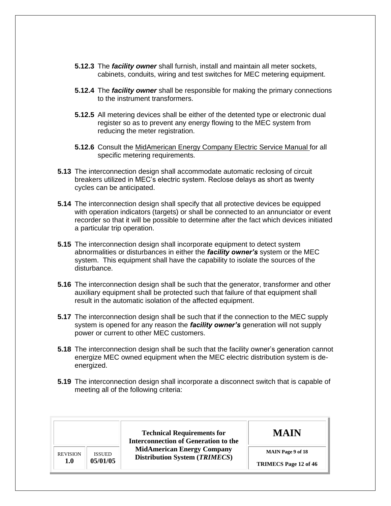- **5.12.3** The *facility owner* shall furnish, install and maintain all meter sockets, cabinets, conduits, wiring and test switches for MEC metering equipment.
- **5.12.4** The *facility owner* shall be responsible for making the primary connections to the instrument transformers.
- **5.12.5** All metering devices shall be either of the detented type or electronic dual register so as to prevent any energy flowing to the MEC system from reducing the meter registration.
- **5.12.6** Consult the MidAmerican Energy Company Electric Service Manual for all specific metering requirements.
- **5.13** The interconnection design shall accommodate automatic reclosing of circuit breakers utilized in MEC's electric system. Reclose delays as short as twenty cycles can be anticipated.
- **5.14** The interconnection design shall specify that all protective devices be equipped with operation indicators (targets) or shall be connected to an annunciator or event recorder so that it will be possible to determine after the fact which devices initiated a particular trip operation.
- **5.15** The interconnection design shall incorporate equipment to detect system abnormalities or disturbances in either the *facility owner's* system or the MEC system. This equipment shall have the capability to isolate the sources of the disturbance.
- **5.16** The interconnection design shall be such that the generator, transformer and other auxiliary equipment shall be protected such that failure of that equipment shall result in the automatic isolation of the affected equipment.
- **5.17** The interconnection design shall be such that if the connection to the MEC supply system is opened for any reason the *facility owner's* generation will not supply power or current to other MEC customers.
- **5.18** The interconnection design shall be such that the facility owner's generation cannot energize MEC owned equipment when the MEC electric distribution system is deenergized.
- **5.19** The interconnection design shall incorporate a disconnect switch that is capable of meeting all of the following criteria:

|                 |               | <b>Technical Requirements for</b><br><b>Interconnection of Generation to the</b> | <b>MAIN</b>                  |
|-----------------|---------------|----------------------------------------------------------------------------------|------------------------------|
| <b>REVISION</b> | <b>ISSUED</b> | <b>MidAmerican Energy Company</b><br><b>Distribution System (TRIMECS)</b>        | <b>MAIN</b> Page 9 of 18     |
| 1.0             | 05/01/05      |                                                                                  | <b>TRIMECS</b> Page 12 of 46 |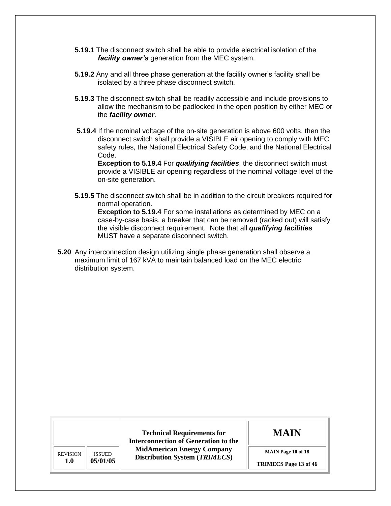- **5.19.1** The disconnect switch shall be able to provide electrical isolation of the *facility owner's* generation from the MEC system.
- **5.19.2** Any and all three phase generation at the facility owner's facility shall be isolated by a three phase disconnect switch.
- **5.19.3** The disconnect switch shall be readily accessible and include provisions to allow the mechanism to be padlocked in the open position by either MEC or the *facility owner*.
- **5.19.4** If the nominal voltage of the on-site generation is above 600 volts, then the disconnect switch shall provide a VISIBLE air opening to comply with MEC safety rules, the National Electrical Safety Code, and the National Electrical Code.

 **Exception to 5.19.4** For *qualifying facilities*, the disconnect switch must provide a VISIBLE air opening regardless of the nominal voltage level of the on-site generation.

 **5.19.5** The disconnect switch shall be in addition to the circuit breakers required for normal operation.

 **Exception to 5.19.4** For some installations as determined by MEC on a case-by-case basis, a breaker that can be removed (racked out) will satisfy the visible disconnect requirement. Note that all *qualifying facilities*  MUST have a separate disconnect switch.

 **5.20** Any interconnection design utilizing single phase generation shall observe a maximum limit of 167 kVA to maintain balanced load on the MEC electric distribution system.

|                 |               | <b>Technical Requirements for</b><br><b>Interconnection of Generation to the</b> | <b>MAIN</b>                  |
|-----------------|---------------|----------------------------------------------------------------------------------|------------------------------|
| <b>REVISION</b> | <b>ISSUED</b> | <b>MidAmerican Energy Company</b><br><b>Distribution System (TRIMECS)</b>        | <b>MAIN Page 10 of 18</b>    |
| 1.0             | 05/01/05      |                                                                                  | <b>TRIMECS Page 13 of 46</b> |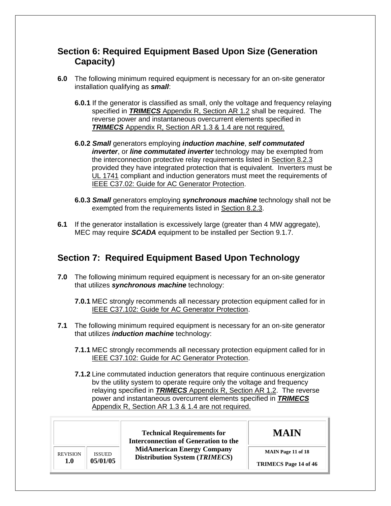#### <span id="page-13-0"></span> **Section 6: Required Equipment Based Upon Size (Generation Capacity)**

- **6.0** The following minimum required equipment is necessary for an on-site generator installation qualifying as *small*:
	- **6.0.1** If the generator is classified as small, only the voltage and frequency relaying specified in *TRIMECS* Appendix R, Section AR 1.2 shall be required. The reverse power and instantaneous overcurrent elements specified in *TRIMECS* Appendix R, Section AR 1.3 & 1.4 are not required.
	- **6.0.2** *Small* generators employing *induction machine*, *self commutated inverter*, or *line commutated inverter* technology may be exempted from provided they have integrated protection that is equivalent. Inverters must be UL 1741 compliant and induction generators must meet the requirements of IEEE C37.02: Guide for AC Generator Protection. the interconnection protective relay requirements listed in Section 8.2.3
	- **6.0.3** *Small* generators employing *synchronous machine* technology shall not be exempted from the requirements listed in Section 8.2.3.
- **6.1** If the generator installation is excessively large (greater than 4 MW aggregate), MEC may require *SCADA* equipment to be installed per Section 9.1.7.

## <span id="page-13-1"></span> **Section 7: Required Equipment Based Upon Technology**

- **7.0** The following minimum required equipment is necessary for an on-site generator that utilizes *synchronous machine* technology:
	- **7.0.1** MEC strongly recommends all necessary protection equipment called for in IEEE C37.102: Guide for AC Generator Protection.
- **7.1** The following minimum required equipment is necessary for an on-site generator that utilizes *induction machine* technology:
	- **7.1.1** MEC strongly recommends all necessary protection equipment called for in IEEE C37.102: Guide for AC Generator Protection.
	- **7.1.2** Line commutated induction generators that require continuous energization bv the utility system to operate require only the voltage and frequency relaying specified in *TRIMECS* Appendix R, Section AR 1.2. The reverse Appendix R, Section AR 1.3 & 1.4 are not required. power and instantaneous overcurrent elements specified in *TRIMECS*

|                 |               | <b>Technical Requirements for</b><br><b>Interconnection of Generation to the</b> | <b>MAIN</b>                  |
|-----------------|---------------|----------------------------------------------------------------------------------|------------------------------|
| <b>REVISION</b> | <b>ISSUED</b> | <b>MidAmerican Energy Company</b><br>Distribution System (TRIMECS)               | <b>MAIN</b> Page 11 of 18    |
| 1.0             | 05/01/05      |                                                                                  | <b>TRIMECS Page 14 of 46</b> |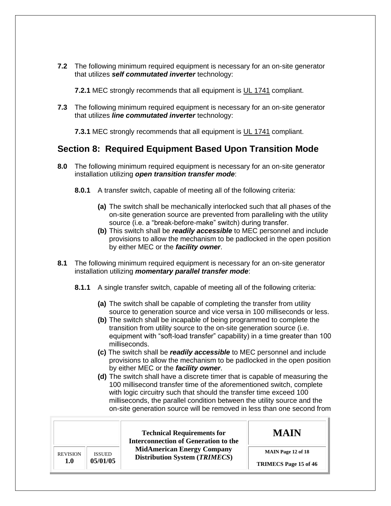**7.2** The following minimum required equipment is necessary for an on-site generator  that utilizes *self commutated inverter* technology:

**7.2.1** MEC strongly recommends that all equipment is UL 1741 compliant.

 **7.3** The following minimum required equipment is necessary for an on-site generator  that utilizes *line commutated inverter* technology:

**7.3.1** MEC strongly recommends that all equipment is UL 1741 compliant.

#### <span id="page-14-0"></span> **Section 8: Required Equipment Based Upon Transition Mode**

- **8.0** The following minimum required equipment is necessary for an on-site generator installation utilizing *open transition transfer mode*:
	- **8.0.1** A transfer switch, capable of meeting all of the following criteria:
		- **(a)** The switch shall be mechanically interlocked such that all phases of the on-site generation source are prevented from paralleling with the utility source (i.e. a "break-before-make" switch) during transfer.
		- **(b)** This switch shall be *readily accessible* to MEC personnel and include provisions to allow the mechanism to be padlocked in the open position by either MEC or the *facility owner*.
- **8.1** The following minimum required equipment is necessary for an on-site generator installation utilizing *momentary parallel transfer mode*:
	- **8.1.1** A single transfer switch, capable of meeting all of the following criteria:
		- **(a)** The switch shall be capable of completing the transfer from utility source to generation source and vice versa in 100 milliseconds or less.
		- **(b)** The switch shall be incapable of being programmed to complete the transition from utility source to the on-site generation source (i.e. equipment with "soft-load transfer" capability) in a time greater than 100 milliseconds.
		- **(c)** The switch shall be *readily accessible* to MEC personnel and include provisions to allow the mechanism to be padlocked in the open position by either MEC or the *facility owner*.
		- **(d)** The switch shall have a discrete timer that is capable of measuring the 100 millisecond transfer time of the aforementioned switch, complete with logic circuitry such that should the transfer time exceed 100 milliseconds, the parallel condition between the utility source and the on-site generation source will be removed in less than one second from

|                 |               | <b>Technical Requirements for</b><br><b>Interconnection of Generation to the</b> | <b>MAIN</b>                  |
|-----------------|---------------|----------------------------------------------------------------------------------|------------------------------|
| <b>REVISION</b> | <b>ISSUED</b> | <b>MidAmerican Energy Company</b><br>Distribution System (TRIMECS)               | <b>MAIN Page 12 of 18</b>    |
| 1.0             | 05/01/05      |                                                                                  | <b>TRIMECS</b> Page 15 of 46 |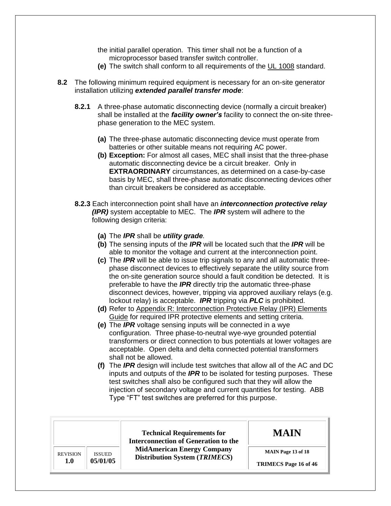the initial parallel operation. This timer shall not be a function of a microprocessor based transfer switch controller.

- **(e)** The switch shall conform to all requirements of the UL 1008 standard.
- **8.2** The following minimum required equipment is necessary for an on-site generator  installation utilizing *extended parallel transfer mode*:
	- **8.2.1** A three-phase automatic disconnecting device (normally a circuit breaker) shall be installed at the *facility owner's* facility to connect the on-site three- phase generation to the MEC system.
		- batteries or other suitable means not requiring AC power. **(a)** The three-phase automatic disconnecting device must operate from
		- **(b) Exception:** For almost all cases, MEC shall insist that the three-phase automatic disconnecting device be a circuit breaker. Only in basis by MEC, shall three-phase automatic disconnecting devices other than circuit breakers be considered as acceptable. **EXTRAORDINARY** circumstances, as determined on a case-by-case
	- **8.2.3** Each interconnection point shall have an *interconnection protective relay (IPR)* system acceptable to MEC. The *IPR* system will adhere to the following design criteria:
		- **(a)** The *IPR* shall be *utility grade.*
		- **(b)** The sensing inputs of the *IPR* will be located such that the *IPR* will be able to monitor the voltage and current at the interconnection point.
		- **(c)** The *IPR* will be able to issue trip signals to any and all automatic three- phase disconnect devices to effectively separate the utility source from the on-site generation source should a fault condition be detected. It is preferable to have the *IPR* directly trip the automatic three-phase disconnect devices, however, tripping via approved auxiliary relays (e.g. lockout relay) is acceptable. *IPR* tripping via *PLC* is prohibited.
		- **(d)** Refer to Appendix R: Interconnection Protective Relay (IPR) Elements Guide for required IPR protective elements and setting criteria.
		- **(e)** The *IPR* voltage sensing inputs will be connected in a wye configuration. Three phase-to-neutral wye-wye grounded potential transformers or direct connection to bus potentials at lower voltages are acceptable. Open delta and delta connected potential transformers shall not be allowed.
		- **(f)** The *IPR* design will include test switches that allow all of the AC and DC inputs and outputs of the *IPR* to be isolated for testing purposes. These test switches shall also be configured such that they will allow the injection of secondary voltage and current quantities for testing. ABB Type "FT" test switches are preferred for this purpose.

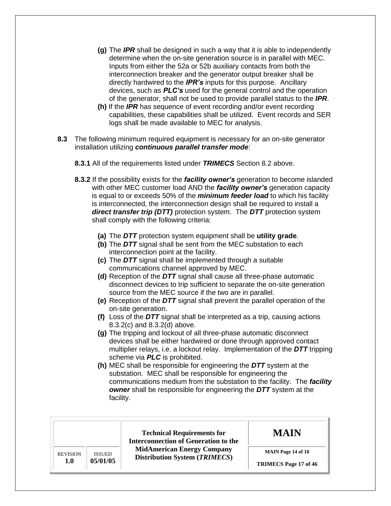- **(g)** The *IPR* shall be designed in such a way that it is able to independently determine when the on-site generation source is in parallel with MEC. Inputs from either the 52a or 52b auxiliary contacts from both the interconnection breaker and the generator output breaker shall be directly hardwired to the *IPR's* inputs for this purpose. Ancillary devices, such as *PLC's* used for the general control and the operation of the generator, shall not be used to provide parallel status to the *IPR*.
- **(h)** If the *IPR* has sequence of event recording and/or event recording capabilities, these capabilities shall be utilized. Event records and SER logs shall be made available to MEC for analysis.
- **8.3** The following minimum required equipment is necessary for an on-site generator installation utilizing *continuous parallel transfer mode*:
	- **8.3.1** All of the requirements listed under *TRIMECS* Section 8.2 above.
	- **8.3.2** If the possibility exists for the *facility owner's* generation to become islanded with other MEC customer load AND the *facility owner's* generation capacity is equal to or exceeds 50% of the *minimum feeder load* to which his facility is interconnected, the interconnection design shall be required to install a *direct transfer trip (DTT)* protection system. The *DTT* protection system shall comply with the following criteria:
		- **(a)** The *DTT* protection system equipment shall be **utility grade**.
		- **(b)** The *DTT* signal shall be sent from the MEC substation to each interconnection point at the facility.
		- **(c)** The *DTT* signal shall be implemented through a suitable communications channel approved by MEC.
		- **(d)** Reception of the *DTT* signal shall cause all three-phase automatic disconnect devices to trip sufficient to separate the on-site generation source from the MEC source if the two are in parallel.
		- **(e)** Reception of the *DTT* signal shall prevent the parallel operation of the on-site generation.
		- **(f)** Loss of the *DTT* signal shall be interpreted as a trip, causing actions 8.3.2(c) and 8.3.2(d) above.
		- **(g)** The tripping and lockout of all three-phase automatic disconnect devices shall be either hardwired or done through approved contact multiplier relays, i.e. a lockout relay. Implementation of the *DTT* tripping scheme via *PLC* is prohibited.
		- **(h)** MEC shall be responsible for engineering the *DTT* system at the substation. MEC shall be responsible for engineering the communications medium from the substation to the facility. The *facility owner* shall be responsible for engineering the *DTT* system at the facility.

|                 |               | <b>Technical Requirements for</b><br><b>Interconnection of Generation to the</b> | <b>MAIN</b>                  |
|-----------------|---------------|----------------------------------------------------------------------------------|------------------------------|
| <b>REVISION</b> | <b>ISSUED</b> | <b>MidAmerican Energy Company</b><br><b>Distribution System (TRIMECS)</b>        | <b>MAIN Page 14 of 18</b>    |
| 1.0             | 05/01/05      |                                                                                  | <b>TRIMECS Page 17 of 46</b> |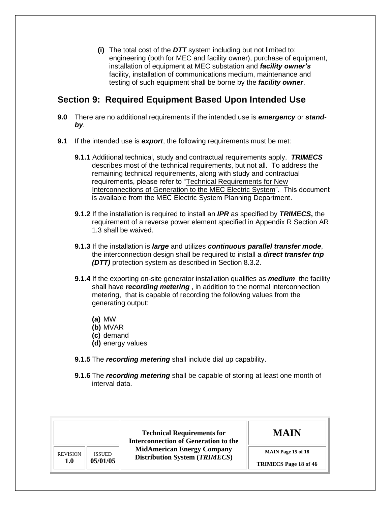**(i)** The total cost of the *DTT* system including but not limited to: engineering (both for MEC and facility owner), purchase of equipment, installation of equipment at MEC substation and *facility owner's* testing of such equipment shall be borne by the *facility owner*. facility, installation of communications medium, maintenance and

#### <span id="page-17-0"></span> **Section 9: Required Equipment Based Upon Intended Use**

- **9.0** There are no additional requirements if the intended use is *emergency* or *standby*.
- **9.1** If the intended use is *export*, the following requirements must be met:
	- **9.1.1** Additional technical, study and contractual requirements apply. *TRIMECS*  describes most of the technical requirements, but not all. To address the remaining technical requirements, along with study and contractual requirements, please refer to "Technical Requirements for New Interconnections of Generation to the MEC Electric System". This document is available from the MEC Electric System Planning Department.
	- **9.1.2** If the installation is required to install an *IPR* as specified by *TRIMECS***,** the requirement of a reverse power element specified in Appendix R Section AR 1.3 shall be waived.
	- **9.1.3** If the installation is *large* and utilizes *continuous parallel transfer mode*, the interconnection design shall be required to install a *direct transfer trip (DTT)* protection system as described in Section 8.3.2.
	- **9.1.4** If the exporting on-site generator installation qualifies as *medium* the facility shall have *recording metering* , in addition to the normal interconnection metering, that is capable of recording the following values from the generating output:
		- **(a)** MW
		- **(b)** MVAR
		- **(c)** demand
		- **(d)** energy values
	- **9.1.5** The *recording metering* shall include dial up capability.
	- **9.1.6** The *recording metering* shall be capable of storing at least one month of interval data.

|                 |               | <b>Technical Requirements for</b><br><b>Interconnection of Generation to the</b> | <b>MAIN</b>                  |
|-----------------|---------------|----------------------------------------------------------------------------------|------------------------------|
| <b>REVISION</b> | <b>ISSUED</b> | <b>MidAmerican Energy Company</b><br>Distribution System (TRIMECS)               | <b>MAIN Page 15 of 18</b>    |
| 1.0             | 05/01/05      |                                                                                  | <b>TRIMECS Page 18 of 46</b> |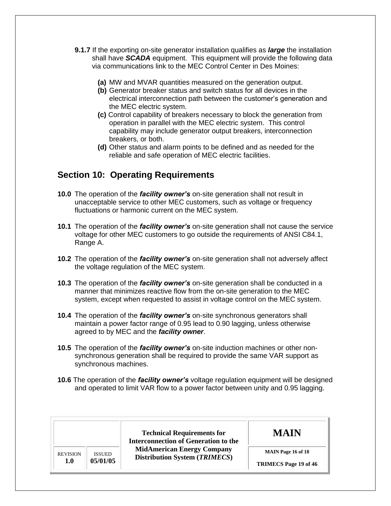- **9.1.7** If the exporting on-site generator installation qualifies as *large* the installation shall have *SCADA* equipment. This equipment will provide the following data via communications link to the MEC Control Center in Des Moines:
	- **(a)** MW and MVAR quantities measured on the generation output.
	- **(b)** Generator breaker status and switch status for all devices in the electrical interconnection path between the customer's generation and the MEC electric system.
	- **(c)** Control capability of breakers necessary to block the generation from operation in parallel with the MEC electric system. This control capability may include generator output breakers, interconnection breakers, or both.
	- **(d)** Other status and alarm points to be defined and as needed for the reliable and safe operation of MEC electric facilities.

#### <span id="page-18-0"></span> **Section 10: Operating Requirements**

- **10.0** The operation of the *facility owner's* on-site generation shall not result in unacceptable service to other MEC customers, such as voltage or frequency fluctuations or harmonic current on the MEC system.
- **10.1** The operation of the *facility owner's* on-site generation shall not cause the service voltage for other MEC customers to go outside the requirements of ANSI C84.1, Range A.
- **10.2** The operation of the *facility owner's* on-site generation shall not adversely affect the voltage regulation of the MEC system.
- **10.3** The operation of the *facility owner's* on-site generation shall be conducted in a manner that minimizes reactive flow from the on-site generation to the MEC system, except when requested to assist in voltage control on the MEC system.
- **10.4** The operation of the *facility owner's* on-site synchronous generators shall maintain a power factor range of 0.95 lead to 0.90 lagging, unless otherwise agreed to by MEC and the *facility owner*.
- **10.5** The operation of the *facility owner's* on-site induction machines or other non- synchronous generation shall be required to provide the same VAR support as synchronous machines.
- **10.6** The operation of the *facility owner's* voltage regulation equipment will be designed and operated to limit VAR flow to a power factor between unity and 0.95 lagging.

|                 |               | <b>Technical Requirements for</b><br><b>Interconnection of Generation to the</b> | <b>MAIN</b>                  |
|-----------------|---------------|----------------------------------------------------------------------------------|------------------------------|
| <b>REVISION</b> | <b>ISSUED</b> | <b>MidAmerican Energy Company</b><br><b>Distribution System (TRIMECS)</b>        | <b>MAIN Page 16 of 18</b>    |
| 1.0             | 05/01/05      |                                                                                  | <b>TRIMECS</b> Page 19 of 46 |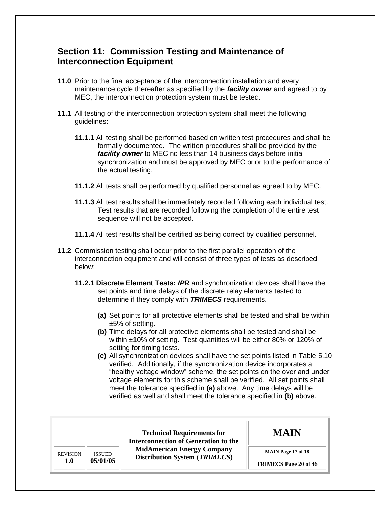#### <span id="page-19-0"></span> **Section 11: Commission Testing and Maintenance of Interconnection Equipment**

- **11.0** Prior to the final acceptance of the interconnection installation and every maintenance cycle thereafter as specified by the *facility owner* and agreed to by MEC, the interconnection protection system must be tested.
- **11.1** All testing of the interconnection protection system shall meet the following guidelines:
	- **11.1.1** All testing shall be performed based on written test procedures and shall be formally documented. The written procedures shall be provided by the *facility owner* to MEC no less than 14 business days before initial synchronization and must be approved by MEC prior to the performance of the actual testing.
	- **11.1.2** All tests shall be performed by qualified personnel as agreed to by MEC.
	- **11.1.3** All test results shall be immediately recorded following each individual test. Test results that are recorded following the completion of the entire test sequence will not be accepted.
	- **11.1.4** All test results shall be certified as being correct by qualified personnel.
- **11.2** Commission testing shall occur prior to the first parallel operation of the interconnection equipment and will consist of three types of tests as described below:
	- **11.2.1 Discrete Element Tests:** *IPR* and synchronization devices shall have the set points and time delays of the discrete relay elements tested to determine if they comply with *TRIMECS* requirements.
		- **(a)** Set points for all protective elements shall be tested and shall be within ±5% of setting.
		- **(b)** Time delays for all protective elements shall be tested and shall be within ±10% of setting. Test quantities will be either 80% or 120% of setting for timing tests.
		- **(c)** All synchronization devices shall have the set points listed in Table 5.10 verified. Additionally, if the synchronization device incorporates a "healthy voltage window" scheme, the set points on the over and under voltage elements for this scheme shall be verified. All set points shall meet the tolerance specified in **(a)** above. Any time delays will be verified as well and shall meet the tolerance specified in **(b)** above.

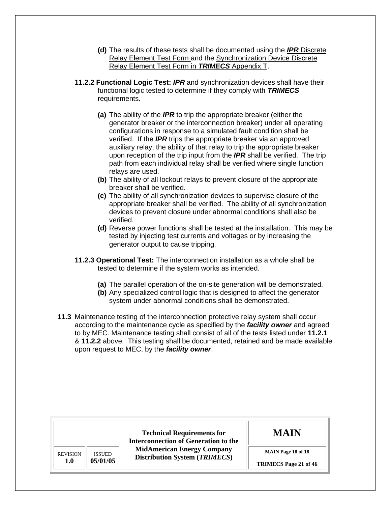- **(d)** The results of these tests shall be documented using the *IPR* Discrete Relay Element Test Form and the Synchronization Device Discrete Relay Element Test Form in *TRIMECS* Appendix T.
- **11.2.2 Functional Logic Test:** *IPR* and synchronization devices shall have their functional logic tested to determine if they comply with *TRIMECS*  requirements.
	- **(a)** The ability of the *IPR* to trip the appropriate breaker (either the generator breaker or the interconnection breaker) under all operating configurations in response to a simulated fault condition shall be verified. If the *IPR* trips the appropriate breaker via an approved auxiliary relay, the ability of that relay to trip the appropriate breaker upon reception of the trip input from the *IPR* shall be verified. The trip path from each individual relay shall be verified where single function relays are used.
	- **(b)** The ability of all lockout relays to prevent closure of the appropriate breaker shall be verified.
	- **(c)** The ability of all synchronization devices to supervise closure of the appropriate breaker shall be verified. The ability of all synchronization devices to prevent closure under abnormal conditions shall also be verified.
	- **(d)** Reverse power functions shall be tested at the installation. This may be tested by injecting test currents and voltages or by increasing the generator output to cause tripping.
- **11.2.3 Operational Test:** The interconnection installation as a whole shall be tested to determine if the system works as intended.
	- **(a)** The parallel operation of the on-site generation will be demonstrated.
	- **(b)** Any specialized control logic that is designed to affect the generator system under abnormal conditions shall be demonstrated.
- **11.3** Maintenance testing of the interconnection protective relay system shall occur according to the maintenance cycle as specified by the *facility owner* and agreed to by MEC. Maintenance testing shall consist of all of the tests listed under **11.2.1**  & **11.2.2** above. This testing shall be documented, retained and be made available upon request to MEC, by the *facility owner*.

|                 |               | <b>Technical Requirements for</b><br><b>Interconnection of Generation to the</b> | <b>MAIN</b>                  |
|-----------------|---------------|----------------------------------------------------------------------------------|------------------------------|
| <b>REVISION</b> | <b>ISSUED</b> | <b>MidAmerican Energy Company</b><br><b>Distribution System (TRIMECS)</b>        | <b>MAIN Page 18 of 18</b>    |
| 1.0             | 05/01/05      |                                                                                  | <b>TRIMECS</b> Page 21 of 46 |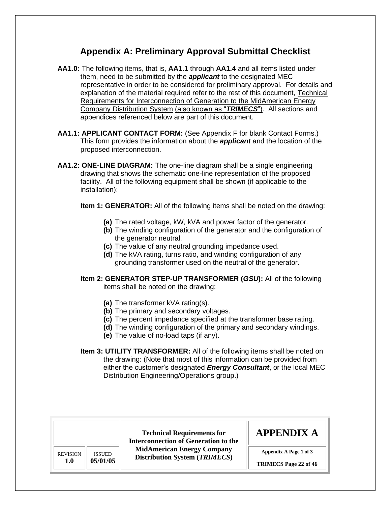#### **Appendix A: Preliminary Approval Submittal Checklist**

- <span id="page-21-0"></span> **AA1.0:** The following items, that is, **AA1.1** through **AA1.4** and all items listed under them, need to be submitted by the *applicant* to the designated MEC representative in order to be considered for preliminary approval. For details and explanation of the material required refer to the rest of this document, Technical Requirements for Interconnection of Generation to the MidAmerican Energy Company Distribution System (also known as "*TRIMECS*"). All sections and appendices referenced below are part of this document.
- **AA1.1: APPLICANT CONTACT FORM:** (See Appendix F for blank Contact Forms.) This form provides the information about the *applicant* and the location of the proposed interconnection.
- **AA1.2: ONE-LINE DIAGRAM:** The one-line diagram shall be a single engineering drawing that shows the schematic one-line representation of the proposed facility. All of the following equipment shall be shown (if applicable to the installation):
	- **Item 1: GENERATOR:** All of the following items shall be noted on the drawing:
		- **(a)** The rated voltage, kW, kVA and power factor of the generator.
		- **(b)** The winding configuration of the generator and the configuration of the generator neutral.
		- **(c)** The value of any neutral grounding impedance used.
		- **(d)** The kVA rating, turns ratio, and winding configuration of any grounding transformer used on the neutral of the generator.

#### items shall be noted on the drawing: **Item 2: GENERATOR STEP-UP TRANSFORMER (***GSU***):** All of the following

- **(a)** The transformer kVA rating(s).
- **(b)** The primary and secondary voltages.
- **(c)** The percent impedance specified at the transformer base rating.
- **(d)** The winding configuration of the primary and secondary windings.
- **(e)** The value of no-load taps (if any).
- **Item 3: UTILITY TRANSFORMER:** All of the following items shall be noted on the drawing: (Note that most of this information can be provided from either the customer's designated *Energy Consultant*, or the local MEC Distribution Engineering/Operations group.)

|                                  | <b>Technical Requirements for</b><br><b>Interconnection of Generation to the</b> | <b>APPENDIX A</b>            |
|----------------------------------|----------------------------------------------------------------------------------|------------------------------|
| <b>REVISION</b><br><b>ISSUED</b> | <b>MidAmerican Energy Company</b><br>Distribution System (TRIMECS)               | Appendix A Page 1 of 3       |
| 05/01/05<br>1.0                  |                                                                                  | <b>TRIMECS</b> Page 22 of 46 |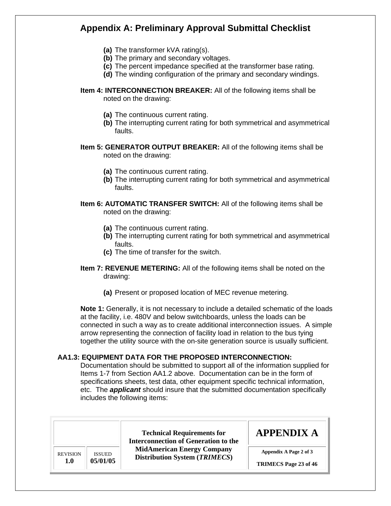## **Appendix A: Preliminary Approval Submittal Checklist**

- **(a)** The transformer kVA rating(s).
- **(b)** The primary and secondary voltages.
- **(c)** The percent impedance specified at the transformer base rating.
- **(d)** The winding configuration of the primary and secondary windings.
- **Item 4: INTERCONNECTION BREAKER:** All of the following items shall be noted on the drawing:
	- **(a)** The continuous current rating.
	- **(b)** The interrupting current rating for both symmetrical and asymmetrical faults.

#### **Item 5: GENERATOR OUTPUT BREAKER:** All of the following items shall be noted on the drawing:

- **(a)** The continuous current rating.
- **(b)** The interrupting current rating for both symmetrical and asymmetrical faults.

#### **Item 6: AUTOMATIC TRANSFER SWITCH:** All of the following items shall be noted on the drawing:

- **(a)** The continuous current rating.
- **(b)** The interrupting current rating for both symmetrical and asymmetrical faults.
- **(c)** The time of transfer for the switch.
- **Item 7: REVENUE METERING:** All of the following items shall be noted on the drawing:
	- **(a)** Present or proposed location of MEC revenue metering.

 **Note 1:** Generally, it is not necessary to include a detailed schematic of the loads at the facility, i.e. 480V and below switchboards, unless the loads can be connected in such a way as to create additional interconnection issues. A simple arrow representing the connection of facility load in relation to the bus tying together the utility source with the on-site generation source is usually sufficient.

#### **AA1.3: EQUIPMENT DATA FOR THE PROPOSED INTERCONNECTION:**

 Documentation should be submitted to support all of the information supplied for Items 1-7 from Section AA1.2 above. Documentation can be in the form of specifications sheets, test data, other equipment specific technical information, etc. The *applicant* should insure that the submitted documentation specifically includes the following items:

|                 |               | <b>Technical Requirements for</b><br><b>Interconnection of Generation to the</b> | <b>APPENDIX A</b>            |
|-----------------|---------------|----------------------------------------------------------------------------------|------------------------------|
| <b>REVISION</b> | <b>ISSUED</b> | <b>MidAmerican Energy Company</b><br>Distribution System (TRIMECS)               | Appendix A Page 2 of 3       |
| 1.0             | 05/01/05      |                                                                                  | <b>TRIMECS Page 23 of 46</b> |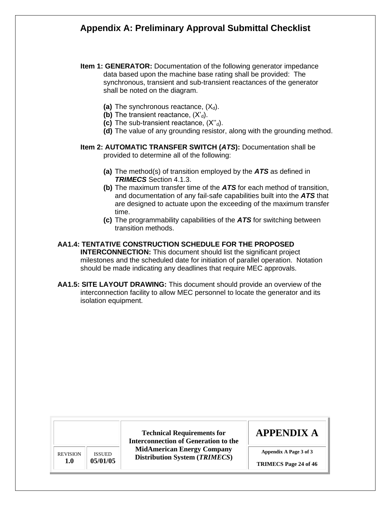## **Appendix A: Preliminary Approval Submittal Checklist**

- **Item 1: GENERATOR:** Documentation of the following generator impedance data based upon the machine base rating shall be provided: The synchronous, transient and sub-transient reactances of the generator shall be noted on the diagram.
	- (a) The synchronous reactance,  $(X_d)$ .
	- **(b)** The transient reactance,  $(X_d)$ .
	- **(c)** The sub-transient reactance, (X''d).
	- **(d)** The value of any grounding resistor, along with the grounding method.

#### **Item 2: AUTOMATIC TRANSFER SWITCH (***ATS***):** Documentation shall be provided to determine all of the following:

- **(a)** The method(s) of transition employed by the *ATS* as defined in *TRIMECS* Section 4.1.3.
- **(b)** The maximum transfer time of the *ATS* for each method of transition, and documentation of any fail-safe capabilities built into the *ATS* that are designed to actuate upon the exceeding of the maximum transfer time.
- **(c)** The programmability capabilities of the *ATS* for switching between transition methods.

#### **AA1.4: TENTATIVE CONSTRUCTION SCHEDULE FOR THE PROPOSED**

 **INTERCONNECTION:** This document should list the significant project milestones and the scheduled date for initiation of parallel operation. Notation should be made indicating any deadlines that require MEC approvals.

 **AA1.5: SITE LAYOUT DRAWING:** This document should provide an overview of the interconnection facility to allow MEC personnel to locate the generator and its isolation equipment.

| <b>REVISION</b> | <b>ISSUED</b> |
|-----------------|---------------|
| 1.0             | 05/01/05      |
|                 |               |

**Technical Requirements for Interconnection of Generation to the MidAmerican Energy Company Distribution System (***TRIMECS***)** 

## **APPENDIX A**

**Appendix A Page 3 of 3** 

 **TRIMECS Page 24 of 46**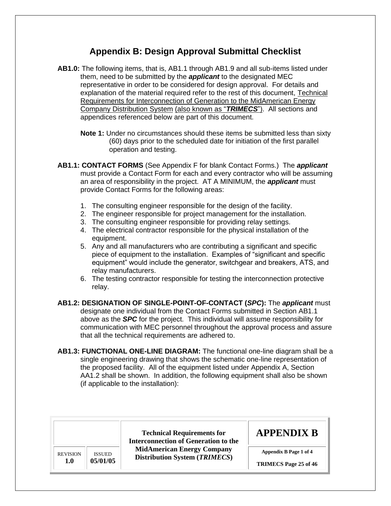- <span id="page-24-0"></span> **AB1.0:** The following items, that is, AB1.1 through AB1.9 and all sub-items listed under them, need to be submitted by the *applicant* to the designated MEC representative in order to be considered for design approval. For details and explanation of the material required refer to the rest of this document, Technical Requirements for Interconnection of Generation to the MidAmerican Energy Company Distribution System (also known as "*TRIMECS*"). All sections and appendices referenced below are part of this document.
	- **Note 1:** Under no circumstances should these items be submitted less than sixty (60) days prior to the scheduled date for initiation of the first parallel operation and testing.
- **AB1.1: CONTACT FORMS** (See Appendix F for blank Contact Forms.) The *applicant*  must provide a Contact Form for each and every contractor who will be assuming an area of responsibility in the project. AT A MINIMUM, the *applicant* must provide Contact Forms for the following areas:
	- 1. The consulting engineer responsible for the design of the facility.
	- 2. The engineer responsible for project management for the installation.
	- 3. The consulting engineer responsible for providing relay settings.
	- 4. The electrical contractor responsible for the physical installation of the equipment.
	- piece of equipment to the installation. Examples of "significant and specific equipment" would include the generator, switchgear and breakers, ATS, and 5. Any and all manufacturers who are contributing a significant and specific relay manufacturers.
	- 6. The testing contractor responsible for testing the interconnection protective relay.
- designate one individual from the Contact Forms submitted in Section AB1.1 above as the *SPC* for the project. This individual will assume responsibility for communication with MEC personnel throughout the approval process and assure that all the technical requirements are adhered to. **AB1.2: DESIGNATION OF SINGLE-POINT-OF-CONTACT (***SPC***):** The *applicant* must
- **AB1.3: FUNCTIONAL ONE-LINE DIAGRAM:** The functional one-line diagram shall be a single engineering drawing that shows the schematic one-line representation of the proposed facility. All of the equipment listed under Appendix A, Section AA1.2 shall be shown. In addition, the following equipment shall also be shown (if applicable to the installation):

|                 |               | <b>Technical Requirements for</b><br><b>Interconnection of Generation to the</b> | <b>APPENDIX B</b>            |
|-----------------|---------------|----------------------------------------------------------------------------------|------------------------------|
| <b>REVISION</b> | <b>ISSUED</b> | <b>MidAmerican Energy Company</b><br><b>Distribution System (TRIMECS)</b>        | Appendix B Page 1 of 4       |
| 1.0             | 05/01/05      |                                                                                  | <b>TRIMECS</b> Page 25 of 46 |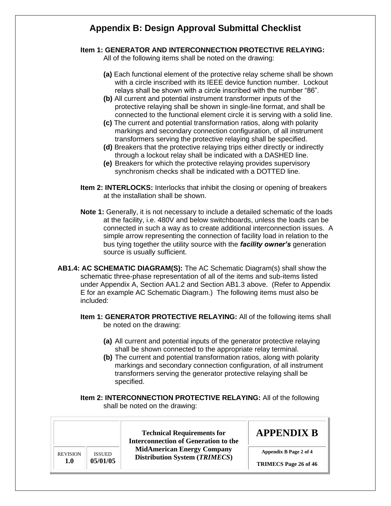#### **Item 1: GENERATOR AND INTERCONNECTION PROTECTIVE RELAYING:**

All of the following items shall be noted on the drawing:

- **(a)** Each functional element of the protective relay scheme shall be shown with a circle inscribed with its IEEE device function number. Lockout relays shall be shown with a circle inscribed with the number "86".
- **(b)** All current and potential instrument transformer inputs of the protective relaying shall be shown in single-line format, and shall be connected to the functional element circle it is serving with a solid line.
- **(c)** The current and potential transformation ratios, along with polarity markings and secondary connection configuration, of all instrument transformers serving the protective relaying shall be specified.
- **(d)** Breakers that the protective relaying trips either directly or indirectly through a lockout relay shall be indicated with a DASHED line.
- **(e)** Breakers for which the protective relaying provides supervisory synchronism checks shall be indicated with a DOTTED line.
- **Item 2: INTERLOCKS:** Interlocks that inhibit the closing or opening of breakers at the installation shall be shown.
- **Note 1:** Generally, it is not necessary to include a detailed schematic of the loads at the facility, i.e. 480V and below switchboards, unless the loads can be connected in such a way as to create additional interconnection issues. A simple arrow representing the connection of facility load in relation to the bus tying together the utility source with the *facility owner's* generation source is usually sufficient.
- **AB1.4: AC SCHEMATIC DIAGRAM(S):** The AC Schematic Diagram(s) shall show the schematic three-phase representation of all of the items and sub-items listed under Appendix A, Section AA1.2 and Section AB1.3 above. (Refer to Appendix E for an example AC Schematic Diagram.) The following items must also be included:
	- **Item 1: GENERATOR PROTECTIVE RELAYING:** All of the following items shall be noted on the drawing:
		- **(a)** All current and potential inputs of the generator protective relaying shall be shown connected to the appropriate relay terminal.
		- **(b)** The current and potential transformation ratios, along with polarity markings and secondary connection configuration, of all instrument transformers serving the generator protective relaying shall be specified.
	- **Item 2: INTERCONNECTION PROTECTIVE RELAYING:** All of the following shall be noted on the drawing:

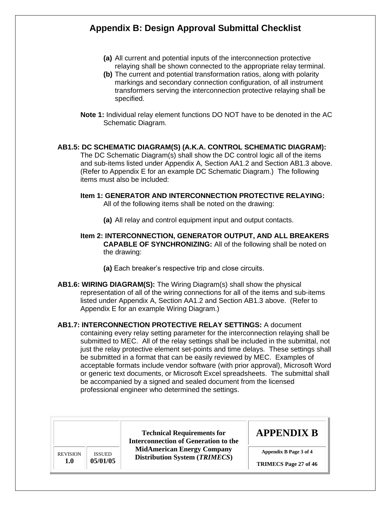- **(a)** All current and potential inputs of the interconnection protective relaying shall be shown connected to the appropriate relay terminal.
- **(b)** The current and potential transformation ratios, along with polarity markings and secondary connection configuration, of all instrument transformers serving the interconnection protective relaying shall be specified.
- **Note 1:** Individual relay element functions DO NOT have to be denoted in the AC Schematic Diagram.

#### **AB1.5: DC SCHEMATIC DIAGRAM(S) (A.K.A. CONTROL SCHEMATIC DIAGRAM):**

 The DC Schematic Diagram(s) shall show the DC control logic all of the items and sub-items listed under Appendix A, Section AA1.2 and Section AB1.3 above. (Refer to Appendix E for an example DC Schematic Diagram.) The following items must also be included:

#### All of the following items shall be noted on the drawing: **Item 1: GENERATOR AND INTERCONNECTION PROTECTIVE RELAYING:**

**(a)** All relay and control equipment input and output contacts.

#### **Item 2: INTERCONNECTION, GENERATOR OUTPUT, AND ALL BREAKERS CAPABLE OF SYNCHRONIZING:** All of the following shall be noted on the drawing:

- **(a)** Each breaker's respective trip and close circuits.
- **AB1.6: WIRING DIAGRAM(S):** The Wiring Diagram(s) shall show the physical representation of all of the wiring connections for all of the items and sub-items listed under Appendix A, Section AA1.2 and Section AB1.3 above. (Refer to Appendix E for an example Wiring Diagram.)

 **AB1.7: INTERCONNECTION PROTECTIVE RELAY SETTINGS:** A document containing every relay setting parameter for the interconnection relaying shall be submitted to MEC. All of the relay settings shall be included in the submittal, not just the relay protective element set-points and time delays. These settings shall be submitted in a format that can be easily reviewed by MEC. Examples of acceptable formats include vendor software (with prior approval), Microsoft Word or generic text documents, or Microsoft Excel spreadsheets. The submittal shall be accompanied by a signed and sealed document from the licensed professional engineer who determined the settings.

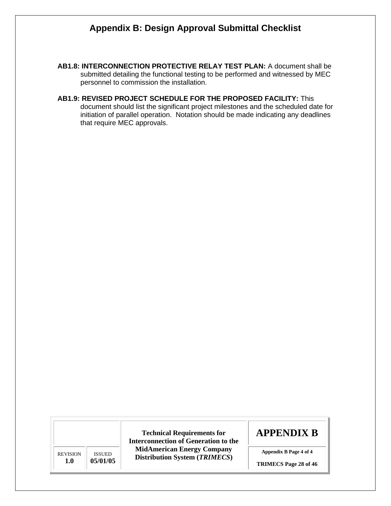- **AB1.8: INTERCONNECTION PROTECTIVE RELAY TEST PLAN:** A document shall be submitted detailing the functional testing to be performed and witnessed by MEC personnel to commission the installation.
- **AB1.9: REVISED PROJECT SCHEDULE FOR THE PROPOSED FACILITY:** This document should list the significant project milestones and the scheduled date for initiation of parallel operation. Notation should be made indicating any deadlines that require MEC approvals.

REVISION **1.0**  ISSUED **05/01/05** 

**Technical Requirements for Interconnection of Generation to the MidAmerican Energy Company Distribution System (***TRIMECS***)** 

## **APPENDIX B**

 **Appendix B Page 4 of 4** 

 **TRIMECS Page 28 of 46**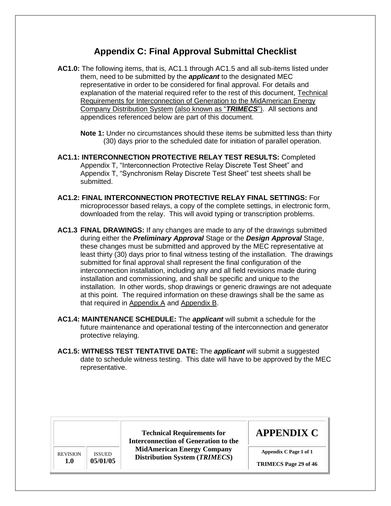<span id="page-28-0"></span> **AC1.0:** The following items, that is, AC1.1 through AC1.5 and all sub-items listed under them, need to be submitted by the *applicant* to the designated MEC representative in order to be considered for final approval. For details and explanation of the material required refer to the rest of this document, Technical Requirements for Interconnection of Generation to the MidAmerican Energy Company Distribution System (also known as "*TRIMECS*"). All sections and appendices referenced below are part of this document.

 **Note 1:** Under no circumstances should these items be submitted less than thirty (30) days prior to the scheduled date for initiation of parallel operation.

- **AC1.1: INTERCONNECTION PROTECTIVE RELAY TEST RESULTS:** Completed Appendix T, "Interconnection Protective Relay Discrete Test Sheet" and Appendix T, "Synchronism Relay Discrete Test Sheet" test sheets shall be submitted.
- **AC1.2: FINAL INTERCONNECTION PROTECTIVE RELAY FINAL SETTINGS:** For microprocessor based relays, a copy of the complete settings, in electronic form, downloaded from the relay. This will avoid typing or transcription problems.
- **AC1.3 FINAL DRAWINGS:** If any changes are made to any of the drawings submitted during either the *Preliminary Approval* Stage or the *Design Approval* Stage, these changes must be submitted and approved by the MEC representative at least thirty (30) days prior to final witness testing of the installation. The drawings submitted for final approval shall represent the final configuration of the interconnection installation, including any and all field revisions made during installation and commissioning, and shall be specific and unique to the installation. In other words, shop drawings or generic drawings are not adequate at this point. The required information on these drawings shall be the same as that required in Appendix A and Appendix B.
- **AC1.4: MAINTENANCE SCHEDULE:** The *applicant* will submit a schedule for the future maintenance and operational testing of the interconnection and generator protective relaying.
- **AC1.5: WITNESS TEST TENTATIVE DATE:** The *applicant* will submit a suggested date to schedule witness testing. This date will have to be approved by the MEC representative.

REVISION **1.0**  ISSUED **05/01/05** 

**Technical Requirements for Interconnection of Generation to the MidAmerican Energy Company Distribution System (***TRIMECS***)** 

## **APPENDIX C**

 **Appendix C Page 1 of 1** 

 **TRIMECS Page 29 of 46**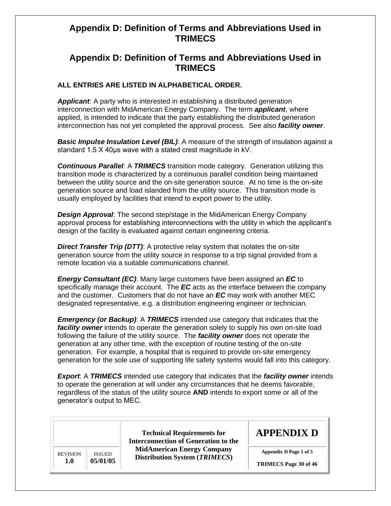#### <span id="page-29-0"></span> **Appendix D: Definition of Terms and Abbreviations Used in TRIMECS**

#### **ALL ENTRIES ARE LISTED IN ALPHABETICAL ORDER.**

 *Applicant*: A party who is interested in establishing a distributed generation interconnection with MidAmerican Energy Company. The term *applicant*, where applied, is intended to indicate that the party establishing the distributed generation interconnection has not yet completed the approval process. See also *facility owner*.

 *Basic Impulse Insulation Level (BIL)*: A measure of the strength of insulation against a standard 1.5 X 40μs wave with a stated crest magnitude in kV.

 *Continuous Parallel*: A *TRIMECS* transition mode category. Generation utilizing this transition mode is characterized by a continuous parallel condition being maintained between the utility source and the on-site generation source. At no time is the on-site generation source and load islanded from the utility source. This transition mode is usually employed by facilities that intend to export power to the utility.

 *Design Approval*: The second step/stage in the MidAmerican Energy Company approval process for establishing interconnections with the utility in which the applicant's design of the facility is evaluated against certain engineering criteria.

 *Direct Transfer Trip (DTT)*: A protective relay system that isolates the on-site generation source from the utility source in response to a trip signal provided from a remote location via a suitable communications channel.

 *Energy Consultant (EC)*: Many large customers have been assigned an *EC* to specifically manage their account. The *EC* acts as the interface between the company and the customer. Customers that do not have an *EC* may work with another MEC designated representative, e.g. a distribution engineering engineer or technician.

 *Emergency (or Backup)*: A *TRIMECS* intended use category that indicates that the facility owner intends to operate the generation solely to supply his own on-site load following the failure of the utility source. The *facility owner* does not operate the generation at any other time, with the exception of routine testing of the on-site generation. For example, a hospital that is required to provide on-site emergency generation for the sole use of supporting life safety systems would fall into this category.

 *Export*: A *TRIMECS* intended use category that indicates that the *facility owner* intends to operate the generation at will under any circumstances that he deems favorable, regardless of the status of the utility source **AND** intends to export some or all of the generator's output to MEC.

 **TRIMECS Page 30 of 46 Technical Requirements for Interconnection of Generation to the MidAmerican Energy Company Distribution System (***TRIMECS***) APPENDIX D**  REVISION **1.0**  ISSUED **05/01/05 Appendix D Page 1 of 5**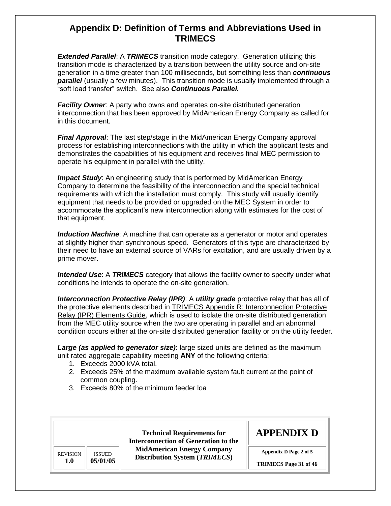*Extended Parallel*: A *TRIMECS* transition mode category. Generation utilizing this transition mode is characterized by a transition between the utility source and on-site generation in a time greater than 100 milliseconds, but something less than *continuous*  **parallel** (usually a few minutes). This transition mode is usually implemented through a "soft load transfer" switch. See also *Continuous Parallel.* 

**Facility Owner**: A party who owns and operates on-site distributed generation interconnection that has been approved by MidAmerican Energy Company as called for in this document.

 *Final Approval*: The last step/stage in the MidAmerican Energy Company approval process for establishing interconnections with the utility in which the applicant tests and demonstrates the capabilities of his equipment and receives final MEC permission to operate his equipment in parallel with the utility.

**Impact Study:** An engineering study that is performed by MidAmerican Energy Company to determine the feasibility of the interconnection and the special technical requirements with which the installation must comply. This study will usually identify equipment that needs to be provided or upgraded on the MEC System in order to accommodate the applicant's new interconnection along with estimates for the cost of that equipment.

 *Induction Machine*: A machine that can operate as a generator or motor and operates at slightly higher than synchronous speed. Generators of this type are characterized by their need to have an external source of VARs for excitation, and are usually driven by a prime mover.

 *Intended Use*: A *TRIMECS* category that allows the facility owner to specify under what conditions he intends to operate the on-site generation.

**Interconnection Protective Relay (IPR):** A *utility grade* protective relay that has all of from the MEC utility source when the two are operating in parallel and an abnormal condition occurs either at the on-site distributed generation facility or on the utility feeder. the protective elements described in TRIMECS Appendix R: Interconnection Protective Relay (IPR) Elements Guide, which is used to isolate the on-site distributed generation

Large (as applied to generator size): large sized units are defined as the maximum unit rated aggregate capability meeting **ANY** of the following criteria:

- 1. Exceeds 2000 kVA total.
- 2. Exceeds 25% of the maximum available system fault current at the point of common coupling.
- 3. Exceeds 80% of the minimum feeder loa

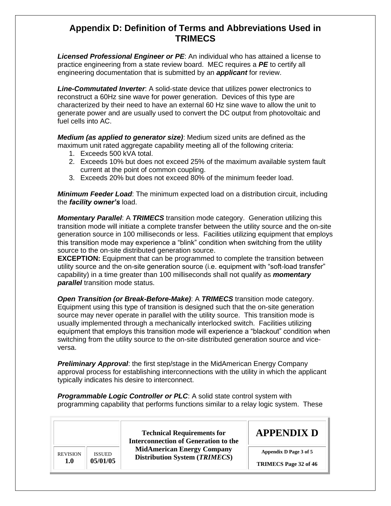*Licensed Professional Engineer or PE*: An individual who has attained a license to practice engineering from a state review board. MEC requires a *PE* to certify all engineering documentation that is submitted by an *applicant* for review.

 reconstruct a 60Hz sine wave for power generation. Devices of this type are characterized by their need to have an external 60 Hz sine wave to allow the unit to generate power and are usually used to convert the DC output from photovoltaic and fuel cells into AC. *Line-Commutated Inverter*: A solid-state device that utilizes power electronics to

 *Medium (as applied to generator size)*: Medium sized units are defined as the maximum unit rated aggregate capability meeting all of the following criteria:

- 1. Exceeds 500 kVA total.
- 2. Exceeds 10% but does not exceed 25% of the maximum available system fault current at the point of common coupling.
- 3. Exceeds 20% but does not exceed 80% of the minimum feeder load.

 *Minimum Feeder Load*: The minimum expected load on a distribution circuit, including the *facility owner's* load.

 *Momentary Parallel*: A *TRIMECS* transition mode category. Generation utilizing this transition mode will initiate a complete transfer between the utility source and the on-site generation source in 100 milliseconds or less. Facilities utilizing equipment that employs this transition mode may experience a "blink" condition when switching from the utility source to the on-site distributed generation source.

 **EXCEPTION:** Equipment that can be programmed to complete the transition between utility source and the on-site generation source (i.e. equipment with "soft-load transfer" capability) in a time greater than 100 milliseconds shall not qualify as *momentary parallel* transition mode status.

 *Open Transition (or Break-Before-Make)*: A *TRIMECS* transition mode category. Equipment using this type of transition is designed such that the on-site generation source may never operate in parallel with the utility source. This transition mode is usually implemented through a mechanically interlocked switch. Facilities utilizing equipment that employs this transition mode will experience a "blackout" condition when switching from the utility source to the on-site distributed generation source and vice-versa.

 *Preliminary Approval*: the first step/stage in the MidAmerican Energy Company approval process for establishing interconnections with the utility in which the applicant typically indicates his desire to interconnect.

**Programmable Logic Controller or PLC:** A solid state control system with programming capability that performs functions similar to a relay logic system. These

 **TRIMECS Page 32 of 46 Technical Requirements for Interconnection of Generation to the MidAmerican Energy Company Distribution System (***TRIMECS***) APPENDIX D**  REVISION **1.0**  ISSUED **05/01/05 Appendix D Page 3 of 5**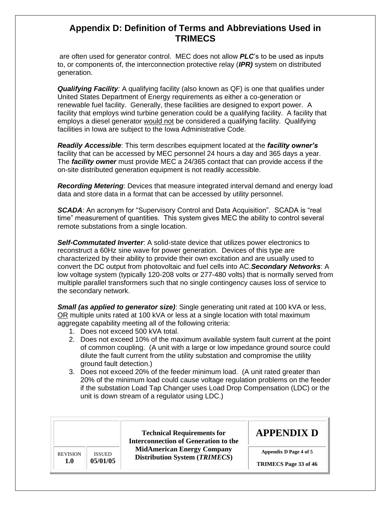are often used for generator control. MEC does not allow *PLC*'s to be used as inputs to, or components of, the interconnection protective relay (*IPR)* system on distributed generation.

 *Qualifying Facility:* A qualifying facility (also known as QF) is one that qualifies under United States Department of Energy requirements as either a co-generation or renewable fuel facility. Generally, these facilities are designed to export power. A facility that employs wind turbine generation could be a qualifying facility. A facility that employs a diesel generator would not be considered a qualifying facility. Qualifying facilities in Iowa are subject to the Iowa Administrative Code.

 *Readily Accessible*: This term describes equipment located at the *facility owner's* facility that can be accessed by MEC personnel 24 hours a day and 365 days a year. The *facility owner* must provide MEC a 24/365 contact that can provide access if the on-site distributed generation equipment is not readily accessible.

 *Recording Metering*: Devices that measure integrated interval demand and energy load data and store data in a format that can be accessed by utility personnel.

 *SCADA*: An acronym for "Supervisory Control and Data Acquisition". SCADA is "real time" measurement of quantities. This system gives MEC the ability to control several remote substations from a single location.

 *Self-Commutated Inverter*: A solid-state device that utilizes power electronics to reconstruct a 60Hz sine wave for power generation. Devices of this type are characterized by their ability to provide their own excitation and are usually used to convert the DC output from photovoltaic and fuel cells into AC.*Secondary Networks*: A low voltage system (typically 120-208 volts or 277-480 volts) that is normally served from multiple parallel transformers such that no single contingency causes loss of service to the secondary network.

*Small (as applied to generator size)*: Single generating unit rated at 100 kVA or less, OR multiple units rated at 100 kVA or less at a single location with total maximum aggregate capability meeting all of the following criteria:

- 1. Does not exceed 500 kVA total.
- 2. Does not exceed 10% of the maximum available system fault current at the point of common coupling. (A unit with a large or low impedance ground source could dilute the fault current from the utility substation and compromise the utility ground fault detection.)
- 3. Does not exceed 20% of the feeder minimum load. (A unit rated greater than 20% of the minimum load could cause voltage regulation problems on the feeder if the substation Load Tap Changer uses Load Drop Compensation (LDC) or the unit is down stream of a regulator using LDC.)

|                 |               | <b>Technical Requirements for</b><br><b>Interconnection of Generation to the</b> | <b>APPENDIX D</b>            |
|-----------------|---------------|----------------------------------------------------------------------------------|------------------------------|
| <b>REVISION</b> | <b>ISSUED</b> | <b>MidAmerican Energy Company</b><br><b>Distribution System (TRIMECS)</b>        | Appendix D Page 4 of 5       |
| <b>1.0</b>      | 05/01/05      |                                                                                  | <b>TRIMECS</b> Page 33 of 46 |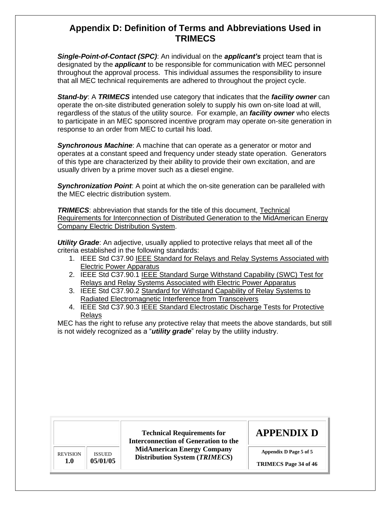*Single-Point-of-Contact (SPC)*: An individual on the *applicant's* project team that is designated by the *applicant* to be responsible for communication with MEC personnel throughout the approval process. This individual assumes the responsibility to insure that all MEC technical requirements are adhered to throughout the project cycle.

 *Stand-by*: A *TRIMECS* intended use category that indicates that the *facility owner* can operate the on-site distributed generation solely to supply his own on-site load at will, regardless of the status of the utility source. For example, an *facility owner* who elects to participate in an MEC sponsored incentive program may operate on-site generation in response to an order from MEC to curtail his load.

 *Synchronous Machine*: A machine that can operate as a generator or motor and operates at a constant speed and frequency under steady state operation. Generators of this type are characterized by their ability to provide their own excitation, and are usually driven by a prime mover such as a diesel engine.

 *Synchronization Point*: A point at which the on-site generation can be paralleled with the MEC electric distribution system.

**TRIMECS:** abbreviation that stands for the title of this document, Technical Requirements for Interconnection of Distributed Generation to the MidAmerican Energy Company Electric Distribution System.

 *Utility Grade*: An adjective, usually applied to protective relays that meet all of the criteria established in the following standards:

- 1. IEEE Std C37.90 IEEE Standard for Relays and Relay Systems Associated with Electric Power Apparatus
- 2. IEEE Std C37.90.1 IEEE Standard Surge Withstand Capability (SWC) Test for Relays and Relay Systems Associated with Electric Power Apparatus
- 3. IEEE Std C37.90.2 Standard for Withstand Capability of Relay Systems to Radiated Electromagnetic Interference from Transceivers
- 4. IEEE Std C37.90.3 IEEE Standard Electrostatic Discharge Tests for Protective Relays

 MEC has the right to refuse any protective relay that meets the above standards, but still is not widely recognized as a "*utility grade*" relay by the utility industry.

|                 |               | <b>Technical Requirements for</b><br>Interconnection of Generation to the | <b>APPENDIX D</b>            |
|-----------------|---------------|---------------------------------------------------------------------------|------------------------------|
| <b>REVISION</b> | <b>ISSUED</b> | <b>MidAmerican Energy Company</b><br><b>Distribution System (TRIMECS)</b> | Appendix D Page 5 of 5       |
| 1.0             | 05/01/05      |                                                                           | <b>TRIMECS</b> Page 34 of 46 |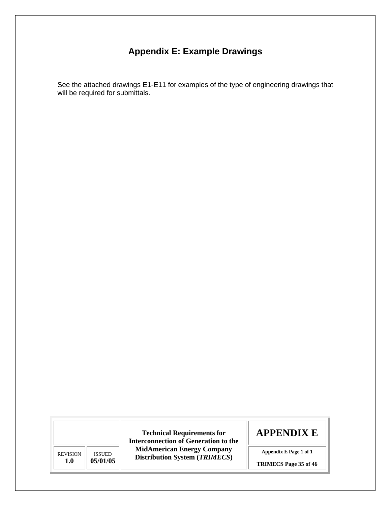#### **Appendix E: Example Drawings**

<span id="page-34-0"></span> See the attached drawings E1-E11 for examples of the type of engineering drawings that will be required for submittals.

REVISION **1.0**  ISSUED **05/01/05** 

**Technical Requirements for Interconnection of Generation to the MidAmerican Energy Company Distribution System (***TRIMECS***)** 

# **APPENDIX E**

 **Appendix E Page 1 of 1** 

**TRIMECS Page 35 of 46**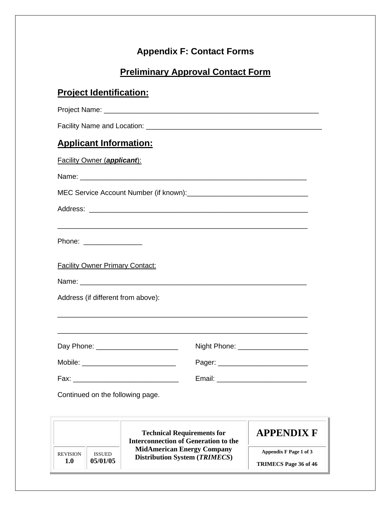## **Appendix F: Contact Forms**

## **Preliminary Approval Contact Form**

## <span id="page-35-0"></span>**Project Identification:**

 Project Name: \_\_\_\_\_\_\_\_\_\_\_\_\_\_\_\_\_\_\_\_\_\_\_\_\_\_\_\_\_\_\_\_\_\_\_\_\_\_\_\_\_\_\_\_\_\_\_\_\_\_\_\_\_\_\_ Facility Name and Location: \_\_\_\_\_\_\_\_\_\_\_\_\_\_\_\_\_\_\_\_\_\_\_\_\_\_\_\_\_\_\_\_\_\_\_\_\_\_\_\_\_\_\_\_\_

| <b>Applicant Information:</b>          |                                                                                                                              |                                     |  |  |  |
|----------------------------------------|------------------------------------------------------------------------------------------------------------------------------|-------------------------------------|--|--|--|
| <b>Facility Owner (applicant):</b>     |                                                                                                                              |                                     |  |  |  |
|                                        |                                                                                                                              |                                     |  |  |  |
|                                        |                                                                                                                              |                                     |  |  |  |
|                                        |                                                                                                                              |                                     |  |  |  |
|                                        |                                                                                                                              |                                     |  |  |  |
| Phone: _________________               |                                                                                                                              |                                     |  |  |  |
|                                        |                                                                                                                              |                                     |  |  |  |
| <b>Facility Owner Primary Contact:</b> |                                                                                                                              |                                     |  |  |  |
|                                        |                                                                                                                              |                                     |  |  |  |
| Address (if different from above):     |                                                                                                                              |                                     |  |  |  |
|                                        |                                                                                                                              |                                     |  |  |  |
|                                        |                                                                                                                              |                                     |  |  |  |
| Day Phone: ________________________    |                                                                                                                              | Night Phone: ______________________ |  |  |  |
|                                        |                                                                                                                              | Pager: ___________________________  |  |  |  |
|                                        |                                                                                                                              |                                     |  |  |  |
| Continued on the following page.       |                                                                                                                              |                                     |  |  |  |
|                                        |                                                                                                                              |                                     |  |  |  |
|                                        |                                                                                                                              |                                     |  |  |  |
|                                        | <b>Technical Requirements for</b><br><b>Interconnection of Generation to the</b>                                             | <b>APPENDIX F</b>                   |  |  |  |
| <b>REVISION</b><br><b>ISSUED</b>       | <b>MidAmerican Energy Company</b><br>Appendix F Page 1 of 3<br><b>Distribution System (TRIMECS)</b><br>TRIMECS Page 36 of 46 |                                     |  |  |  |
| 05/01/05<br>1.0                        |                                                                                                                              |                                     |  |  |  |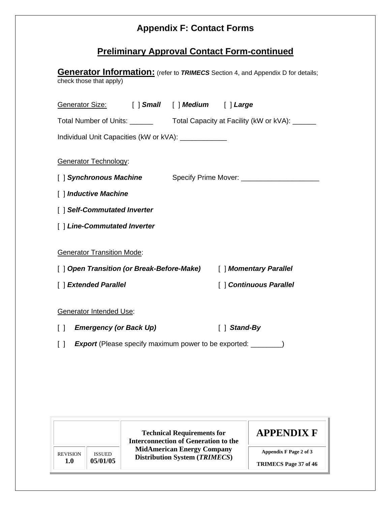## **Appendix F: Contact Forms**

## **Preliminary Approval Contact Form-continued**

| <b>Generator Information:</b> (refer to TRIMECS Section 4, and Appendix D for details;<br>check those that apply) |  |                                        |  |
|-------------------------------------------------------------------------------------------------------------------|--|----------------------------------------|--|
| Generator Size: [ ] Small [ ] Medium [ ] Large                                                                    |  |                                        |  |
|                                                                                                                   |  |                                        |  |
| Individual Unit Capacities (kW or kVA): ______________                                                            |  |                                        |  |
| <b>Generator Technology:</b><br>[ ] Synchronous Machine                                                           |  | Specify Prime Mover: _________________ |  |
| [ ] Inductive Machine                                                                                             |  |                                        |  |
| [ ] Self-Commutated Inverter                                                                                      |  |                                        |  |
| [] Line-Commutated Inverter                                                                                       |  |                                        |  |
| <b>Generator Transition Mode:</b>                                                                                 |  | [ ] Momentary Parallel                 |  |
| [ ] Extended Parallel                                                                                             |  | [] Continuous Parallel                 |  |
| <b>Generator Intended Use:</b>                                                                                    |  |                                        |  |
| <b>Emergency (or Back Up)</b><br>$\Box$                                                                           |  | $\lceil \ \rceil$ Stand-By             |  |
| <b>Export</b> (Please specify maximum power to be exported: _________)<br>$[\ ]$                                  |  |                                        |  |

 **Appendix F Page 2 of 3 TRIMECS Page 37 of 46 Technical Requirements for Interconnection of Generation to the MidAmerican Energy Company Distribution System (***TRIMECS***) APPENDIX F**  REVISION **1.0**  ISSUED **05/01/05**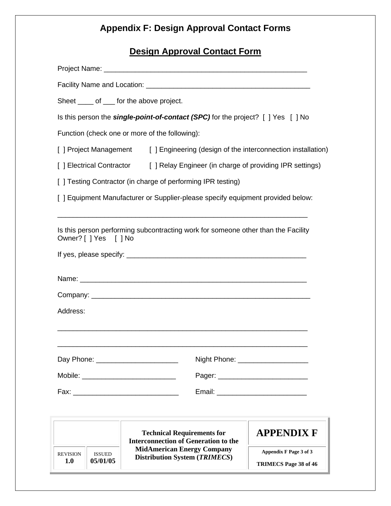## **Appendix F: Design Approval Contact Forms**

#### **Design Approval Contact Form**

| Sheet _____ of ____ for the above project.                                                                             |                                                                                     |                                                        |  |  |  |
|------------------------------------------------------------------------------------------------------------------------|-------------------------------------------------------------------------------------|--------------------------------------------------------|--|--|--|
|                                                                                                                        | Is this person the single-point-of-contact (SPC) for the project? [ ] Yes [ ] No    |                                                        |  |  |  |
|                                                                                                                        | Function (check one or more of the following):                                      |                                                        |  |  |  |
|                                                                                                                        | [ ] Project Management [ ] Engineering (design of the interconnection installation) |                                                        |  |  |  |
|                                                                                                                        | [ ] Electrical Contractor [ ] Relay Engineer (in charge of providing IPR settings)  |                                                        |  |  |  |
|                                                                                                                        | [ ] Testing Contractor (in charge of performing IPR testing)                        |                                                        |  |  |  |
|                                                                                                                        | [ ] Equipment Manufacturer or Supplier-please specify equipment provided below:     |                                                        |  |  |  |
| Is this person performing subcontracting work for someone other than the Facility<br>Owner? [ ] Yes [ ] No<br>Address: |                                                                                     |                                                        |  |  |  |
|                                                                                                                        |                                                                                     | Night Phone: _____________________                     |  |  |  |
|                                                                                                                        |                                                                                     |                                                        |  |  |  |
|                                                                                                                        |                                                                                     |                                                        |  |  |  |
|                                                                                                                        |                                                                                     |                                                        |  |  |  |
|                                                                                                                        | <b>Technical Requirements for</b><br><b>Interconnection of Generation to the</b>    | <b>APPENDIX F</b>                                      |  |  |  |
| <b>REVISION</b><br><b>ISSUED</b><br>05/01/05<br><b>1.0</b>                                                             | <b>MidAmerican Energy Company</b><br><b>Distribution System (TRIMECS)</b>           | Appendix F Page 3 of 3<br><b>TRIMECS Page 38 of 46</b> |  |  |  |
|                                                                                                                        |                                                                                     |                                                        |  |  |  |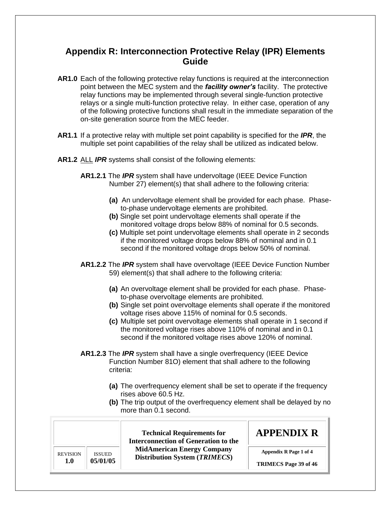- <span id="page-38-0"></span> **AR1.0** Each of the following protective relay functions is required at the interconnection point between the MEC system and the *facility owner's* facility. The protective relay functions may be implemented through several single-function protective relays or a single multi-function protective relay. In either case, operation of any of the following protective functions shall result in the immediate separation of the on-site generation source from the MEC feeder.
- **AR1.1** If a protective relay with multiple set point capability is specified for the *IPR*, the multiple set point capabilities of the relay shall be utilized as indicated below.
- **AR1.2** ALL *IPR* systems shall consist of the following elements:
	- **AR1.2.1** The *IPR* system shall have undervoltage (IEEE Device Function Number 27) element(s) that shall adhere to the following criteria:
		- **(a)** An undervoltage element shall be provided for each phase. Phase-to-phase undervoltage elements are prohibited.
		- **(b)** Single set point undervoltage elements shall operate if the monitored voltage drops below 88% of nominal for 0.5 seconds.
		- **(c)** Multiple set point undervoltage elements shall operate in 2 seconds if the monitored voltage drops below 88% of nominal and in 0.1 second if the monitored voltage drops below 50% of nominal.
	- **AR1.2.2** The *IPR* system shall have overvoltage (IEEE Device Function Number 59) element(s) that shall adhere to the following criteria:
		- **(a)** An overvoltage element shall be provided for each phase. Phase-to-phase overvoltage elements are prohibited.
		- **(b)** Single set point overvoltage elements shall operate if the monitored voltage rises above 115% of nominal for 0.5 seconds.
		- **(c)** Multiple set point overvoltage elements shall operate in 1 second if the monitored voltage rises above 110% of nominal and in 0.1 second if the monitored voltage rises above 120% of nominal.
	- **AR1.2.3** The *IPR* system shall have a single overfrequency (IEEE Device Function Number 81O) element that shall adhere to the following criteria:
		- **(a)** The overfrequency element shall be set to operate if the frequency rises above 60.5 Hz.
		- **(b)** The trip output of the overfrequency element shall be delayed by no more than 0.1 second.

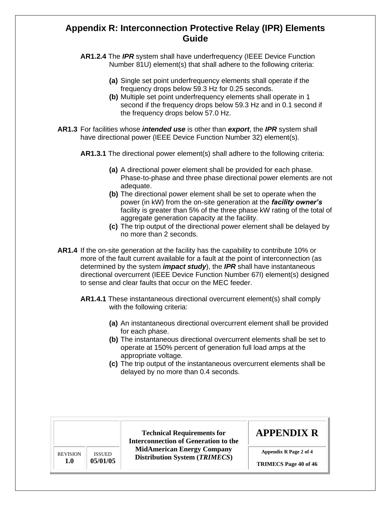- **AR1.2.4** The *IPR* system shall have underfrequency (IEEE Device Function Number 81U) element(s) that shall adhere to the following criteria:
	- **(a)** Single set point underfrequency elements shall operate if the frequency drops below 59.3 Hz for 0.25 seconds.
	- **(b)** Multiple set point underfrequency elements shall operate in 1 second if the frequency drops below 59.3 Hz and in 0.1 second if the frequency drops below 57.0 Hz.
- **AR1.3** For facilities whose *intended use* is other than *export*, the *IPR* system shall have directional power (IEEE Device Function Number 32) element(s).
	- **AR1.3.1** The directional power element(s) shall adhere to the following criteria:
		- **(a)** A directional power element shall be provided for each phase. Phase-to-phase and three phase directional power elements are not adequate.
		- **(b)** The directional power element shall be set to operate when the power (in kW) from the on-site generation at the *facility owner's* facility is greater than 5% of the three phase kW rating of the total of aggregate generation capacity at the facility.
		- **(c)** The trip output of the directional power element shall be delayed by no more than 2 seconds.
- **AR1.4** If the on-site generation at the facility has the capability to contribute 10% or more of the fault current available for a fault at the point of interconnection (as determined by the system *impact study*), the *IPR* shall have instantaneous directional overcurrent (IEEE Device Function Number 67I) element(s) designed to sense and clear faults that occur on the MEC feeder.
	- **AR1.4.1** These instantaneous directional overcurrent element(s) shall comply with the following criteria:
		- **(a)** An instantaneous directional overcurrent element shall be provided for each phase.
		- **(b)** The instantaneous directional overcurrent elements shall be set to operate at 150% percent of generation full load amps at the appropriate voltage.
		- **(c)** The trip output of the instantaneous overcurrent elements shall be delayed by no more than 0.4 seconds.

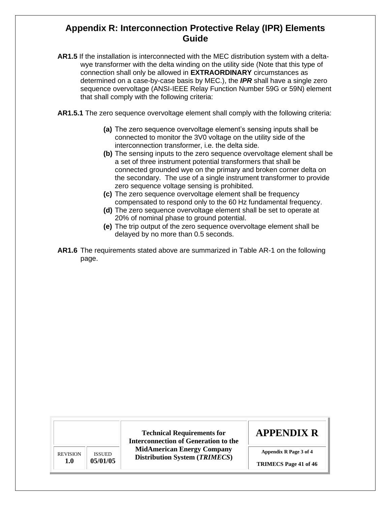- **AR1.5** If the installation is interconnected with the MEC distribution system with a delta- wye transformer with the delta winding on the utility side (Note that this type of connection shall only be allowed in **EXTRAORDINARY** circumstances as determined on a case-by-case basis by MEC.), the *IPR* shall have a single zero sequence overvoltage (ANSI-IEEE Relay Function Number 59G or 59N) element that shall comply with the following criteria:
- **AR1.5.1** The zero sequence overvoltage element shall comply with the following criteria:
	- **(a)** The zero sequence overvoltage element's sensing inputs shall be connected to monitor the 3V0 voltage on the utility side of the interconnection transformer, i.e. the delta side.
	- **(b)** The sensing inputs to the zero sequence overvoltage element shall be a set of three instrument potential transformers that shall be connected grounded wye on the primary and broken corner delta on the secondary. The use of a single instrument transformer to provide zero sequence voltage sensing is prohibited.
	- **(c)** The zero sequence overvoltage element shall be frequency compensated to respond only to the 60 Hz fundamental frequency.
	- **(d)** The zero sequence overvoltage element shall be set to operate at 20% of nominal phase to ground potential.
	- **(e)** The trip output of the zero sequence overvoltage element shall be delayed by no more than 0.5 seconds.
- **AR1.6** The requirements stated above are summarized in Table AR-1 on the following page.

REVISION **1.0**  ISSUED **05/01/05** 

**Technical Requirements for Interconnection of Generation to the MidAmerican Energy Company Distribution System (***TRIMECS***)** 

## **APPENDIX R**

 **Appendix R Page 3 of 4** 

 **TRIMECS Page 41 of 46**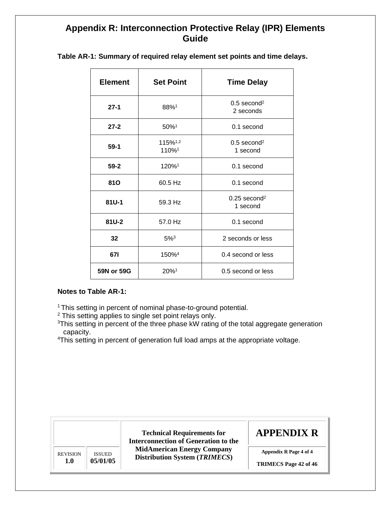| <b>Element</b> | <b>Set Point</b>             | <b>Time Delay</b>                      |
|----------------|------------------------------|----------------------------------------|
| $27-1$         | 88%1                         | $0.5$ second <sup>2</sup><br>2 seconds |
| $27 - 2$       | 50%1                         | $0.1$ second                           |
| $59-1$         | 115%1,2<br>110% <sup>1</sup> | $0.5$ second <sup>2</sup><br>1 second  |
| $59 - 2$       | 120% <sup>1</sup>            | 0.1 second                             |
| <b>810</b>     | 60.5 Hz                      | 0.1 second                             |
| $81U-1$        | 59.3 Hz                      | $0.25$ second <sup>2</sup><br>1 second |
| 81U-2          | 57.0 Hz                      | 0.1 second                             |
| 32             | $5\%$ <sup>3</sup>           | 2 seconds or less                      |
| 671            | 150% <sup>4</sup>            | 0.4 second or less                     |
| 59N or 59G     | 20%1                         | 0.5 second or less                     |

 **Table AR-1: Summary of required relay element set points and time delays.** 

#### **Notes to Table AR-1:**

<sup>1</sup> This setting in percent of nominal phase-to-ground potential.

 $2$  This setting applies to single set point relays only.

<sup>3</sup>This setting in percent of the three phase kW rating of the total aggregate generation capacity.

<sup>4</sup>This setting in percent of generation full load amps at the appropriate voltage.

|                 |                                                                                            | <b>APPENDIX R</b><br><b>Technical Requirements for</b><br><b>Interconnection of Generation to the</b> |                              |
|-----------------|--------------------------------------------------------------------------------------------|-------------------------------------------------------------------------------------------------------|------------------------------|
| <b>REVISION</b> | <b>MidAmerican Energy Company</b><br><b>ISSUED</b><br><b>Distribution System (TRIMECS)</b> | Appendix R Page 4 of 4                                                                                |                              |
| 1.0             | 05/01/05                                                                                   |                                                                                                       | <b>TRIMECS</b> Page 42 of 46 |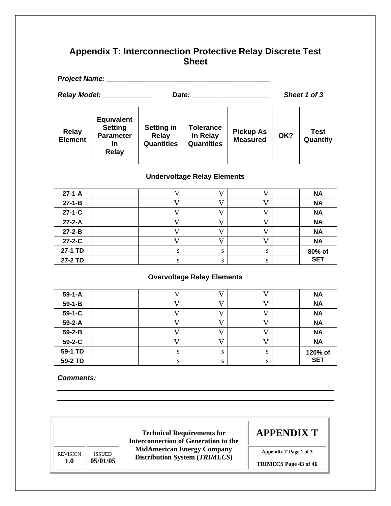## <span id="page-42-0"></span> **Appendix T: Interconnection Protective Relay Discrete Test Sheet**

|                                    | Project Name: __________                                                       |                                                        |                                                   |                                     |     |                         |
|------------------------------------|--------------------------------------------------------------------------------|--------------------------------------------------------|---------------------------------------------------|-------------------------------------|-----|-------------------------|
|                                    | Relay Model: _____________                                                     |                                                        |                                                   | Sheet 1 of 3                        |     |                         |
| <b>Relay</b><br><b>Element</b>     | <b>Equivalent</b><br><b>Setting</b><br><b>Parameter</b><br>in.<br><b>Relay</b> | <b>Setting in</b><br><b>Relay</b><br><b>Quantities</b> | <b>Tolerance</b><br>in Relay<br><b>Quantities</b> | <b>Pickup As</b><br><b>Measured</b> | OK? | <b>Test</b><br>Quantity |
| <b>Undervoltage Relay Elements</b> |                                                                                |                                                        |                                                   |                                     |     |                         |
| $27 - 1 - A$                       |                                                                                | V                                                      | V                                                 | $\mathbf{V}$                        |     | <b>NA</b>               |
| $27 - 1 - B$                       |                                                                                | $\mathbf V$                                            | V                                                 | $\mathbf{V}$                        |     | <b>NA</b>               |
| $27 - 1 - C$                       |                                                                                | V                                                      | V                                                 | V                                   |     | <b>NA</b>               |
| $27 - 2 - A$                       |                                                                                | $\mathbf V$                                            | $\mathbf V$                                       | $\mathbf V$                         |     | <b>NA</b>               |
| $27 - 2 - B$                       |                                                                                | $\overline{V}$                                         | $\mathbf V$                                       | $\mathbf{V}$                        |     | <b>NA</b>               |
| $27 - 2 - C$                       |                                                                                | $\overline{\mathsf{V}}$                                | $\overline{\mathsf{V}}$                           | $\overline{\mathsf{V}}$             |     | <b>NA</b>               |
| 27-1 TD                            |                                                                                | ${\bf S}$                                              | ${\bf S}$                                         | S                                   |     | 80% of                  |
| 27-2 TD                            |                                                                                | ${\bf S}$                                              | S                                                 | ${\bf S}$                           |     | <b>SET</b>              |
| <b>Overvoltage Relay Elements</b>  |                                                                                |                                                        |                                                   |                                     |     |                         |
| $59 - 1 - A$                       |                                                                                | V                                                      | V                                                 | V                                   |     | <b>NA</b>               |
| $59 - 1 - B$                       |                                                                                | $\overline{V}$                                         | $\mathbf V$                                       | $\mathbf{V}$                        |     | <b>NA</b>               |
| $59 - 1 - C$                       |                                                                                | V                                                      | $\mathbf V$                                       | $\overline{V}$                      |     | <b>NA</b>               |
| $59 - 2 - A$                       |                                                                                | $\mathbf V$                                            | $\mathbf V$                                       | $\mathbf V$                         |     | <b>NA</b>               |
| $59 - 2 - B$                       |                                                                                | $\mathbf{V}$                                           | $\mathbf V$                                       | $\mathbf{V}$                        |     | <b>NA</b>               |
| 59-2-C                             |                                                                                | $\mathbf V$                                            | $\mathbf V$                                       | $\mathbf{V}$                        |     | <b>NA</b>               |
| 59-1 TD                            |                                                                                | ${\bf S}$                                              | ${\bf S}$                                         | ${\bf S}$                           |     | 120% of                 |
| 59-2 TD                            |                                                                                | S                                                      | S                                                 | $\mathbf S$                         |     | <b>SET</b>              |

*Comments:* 

 **Appendix T Page 1 of 3 TRIMECS Page 43 of 46 Technical Requirements for Interconnection of Generation to the MidAmerican Energy Company Distribution System (***TRIMECS***) APPENDIX T**  REVISION **1.0**  ISSUED **05/01/05**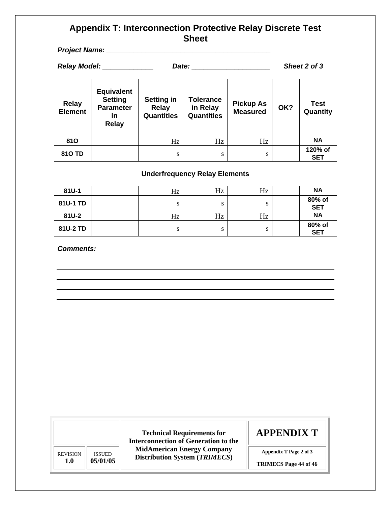#### **Appendix T: Interconnection Protective Relay Discrete Test Sheet**

 *Project Name: \_\_\_\_\_\_\_\_\_\_\_\_\_\_\_\_\_\_\_\_\_\_\_\_\_\_\_\_\_\_\_\_\_\_\_\_\_\_\_\_\_\_* 

|                                | Relay Model: Nellay<br>Date:                                                  |                                                 | Sheet 2 of 3                                      |                                     |     |                         |
|--------------------------------|-------------------------------------------------------------------------------|-------------------------------------------------|---------------------------------------------------|-------------------------------------|-----|-------------------------|
| <b>Relay</b><br><b>Element</b> | <b>Equivalent</b><br><b>Setting</b><br><b>Parameter</b><br>in<br><b>Relay</b> | Setting in<br><b>Relay</b><br><b>Quantities</b> | <b>Tolerance</b><br>in Relay<br><b>Quantities</b> | <b>Pickup As</b><br><b>Measured</b> | OK? | <b>Test</b><br>Quantity |
| <b>810</b>                     |                                                                               | Hz                                              | Hz                                                | Hz                                  |     | <b>NA</b>               |
| <b>810 TD</b>                  |                                                                               | S                                               | S                                                 | S                                   |     | 120% of<br><b>SET</b>   |
|                                |                                                                               |                                                 | <b>Underfrequency Relay Elements</b>              |                                     |     |                         |
| 81U-1                          |                                                                               | Hz                                              | Hz                                                | Hz                                  |     | <b>NA</b>               |
| 81U-1 TD                       |                                                                               | S                                               | S                                                 | S                                   |     | 80% of<br><b>SET</b>    |
| 81U-2                          |                                                                               | Hz                                              | Hz                                                | Hz                                  |     | <b>NA</b>               |
| <b>04U A TR</b>                |                                                                               |                                                 |                                                   |                                     |     | 80% of                  |

**SET** 

**81U-2 TD**  $\begin{vmatrix} s & s & s \end{vmatrix}$  is s

*Comments:* 

 **Appendix T Page 2 of 3 TRIMECS Page 44 of 46 Technical Requirements for Interconnection of Generation to the MidAmerican Energy Company Distribution System (***TRIMECS***) APPENDIX T**  REVISION **1.0**  ISSUED **05/01/05**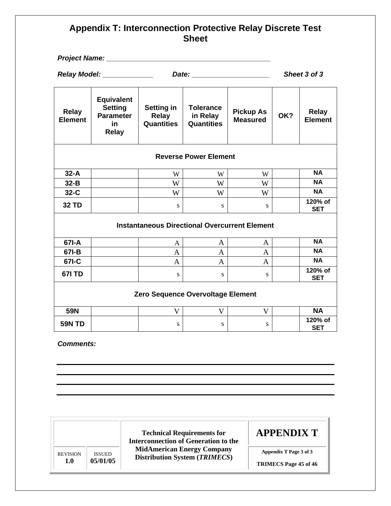#### **Appendix T: Interconnection Protective Relay Discrete Test Sheet**

|                                                                                                                                                                                                                                                             | Project Name: Name                                                            |                                                        |                                                   |                                     |              |                                |
|-------------------------------------------------------------------------------------------------------------------------------------------------------------------------------------------------------------------------------------------------------------|-------------------------------------------------------------------------------|--------------------------------------------------------|---------------------------------------------------|-------------------------------------|--------------|--------------------------------|
| Relay Model: ____________<br>Date: the contract of the contract of the contract of the contract of the contract of the contract of the contract of the contract of the contract of the contract of the contract of the contract of the contract of the cont |                                                                               |                                                        |                                                   |                                     | Sheet 3 of 3 |                                |
| <b>Relay</b><br><b>Element</b>                                                                                                                                                                                                                              | <b>Equivalent</b><br><b>Setting</b><br><b>Parameter</b><br>in<br><b>Relay</b> | <b>Setting in</b><br><b>Relay</b><br><b>Quantities</b> | <b>Tolerance</b><br>in Relay<br><b>Quantities</b> | <b>Pickup As</b><br><b>Measured</b> | OK?          | <b>Relay</b><br><b>Element</b> |
| <b>Reverse Power Element</b>                                                                                                                                                                                                                                |                                                                               |                                                        |                                                   |                                     |              |                                |
| $32-A$                                                                                                                                                                                                                                                      |                                                                               | W                                                      | W                                                 | W                                   |              | <b>NA</b>                      |
| $32-B$                                                                                                                                                                                                                                                      |                                                                               | W                                                      | W                                                 | W                                   |              | <b>NA</b>                      |
| $32-C$                                                                                                                                                                                                                                                      |                                                                               | W                                                      | W                                                 | W                                   |              | <b>NA</b>                      |
| <b>32 TD</b>                                                                                                                                                                                                                                                |                                                                               | S                                                      | S                                                 | S                                   |              | 120% of<br><b>SET</b>          |
| <b>Instantaneous Directional Overcurrent Element</b>                                                                                                                                                                                                        |                                                                               |                                                        |                                                   |                                     |              |                                |
| 67I-A                                                                                                                                                                                                                                                       |                                                                               | A                                                      | A                                                 | A                                   |              | <b>NA</b>                      |
| 67I-B                                                                                                                                                                                                                                                       |                                                                               | $\mathbf{A}$                                           | $\mathbf{A}$                                      | $\mathbf{A}$                        |              | <b>NA</b>                      |
| 67I-C                                                                                                                                                                                                                                                       |                                                                               | $\overline{A}$                                         | A                                                 | $\mathbf{A}$                        |              | $N_A$                          |
| <b>671 TD</b>                                                                                                                                                                                                                                               |                                                                               | S                                                      | S                                                 | S                                   |              | 120% of<br><b>SET</b>          |
| Zero Sequence Overvoltage Element                                                                                                                                                                                                                           |                                                                               |                                                        |                                                   |                                     |              |                                |
| 59N                                                                                                                                                                                                                                                         |                                                                               | V                                                      | V                                                 | V                                   |              | <b>NA</b>                      |
| <b>59N TD</b>                                                                                                                                                                                                                                               |                                                                               | S                                                      | S                                                 | S                                   |              | 120% of<br><b>SET</b>          |

*Comments:* 

|                 |               | <b>Technical Requirements for</b><br><b>Interconnection of Generation to the</b> | <b>APPENDIX T</b>            |
|-----------------|---------------|----------------------------------------------------------------------------------|------------------------------|
| <b>REVISION</b> | <b>ISSUED</b> | <b>MidAmerican Energy Company</b><br><b>Distribution System (TRIMECS)</b>        | Appendix T Page 3 of 3       |
| 1.0             | 05/01/05      |                                                                                  | <b>TRIMECS</b> Page 45 of 46 |